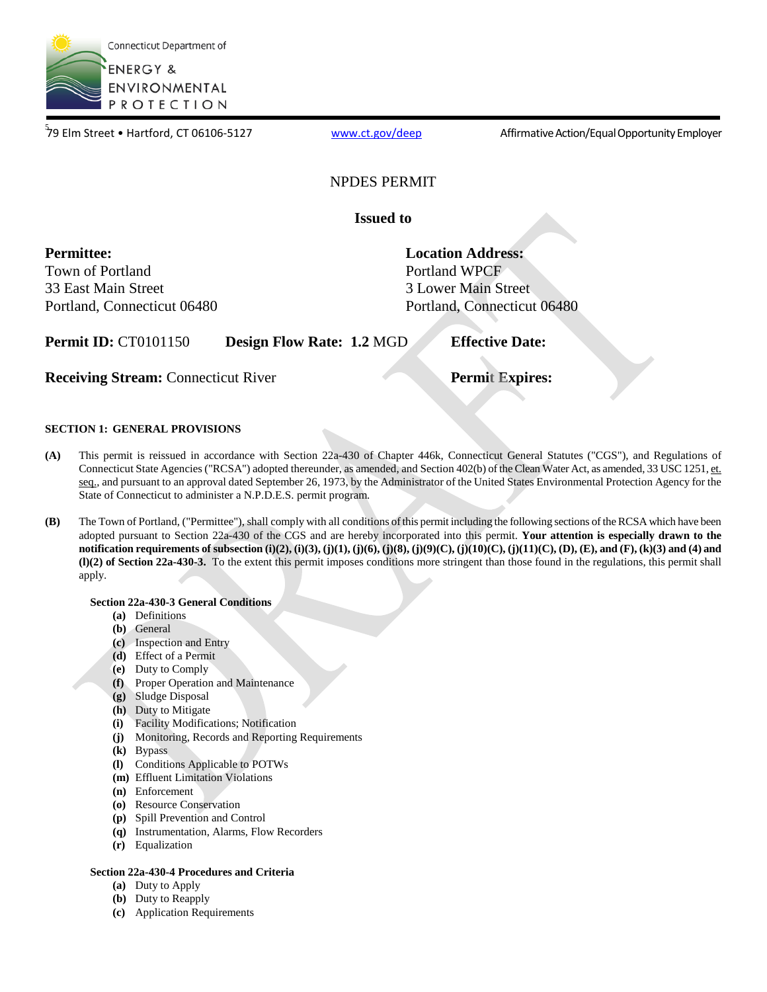

79 Elm Street • Hartford, CT 06106-5127

[www.ct.gov/deep](http://www.ct.gov/deep) **Affirmative Action/Equal Opportunity Employer** 

### NPDES PERMIT

**Issued to** 

 **Permittee:** 

 Town of Portland 33 East Main Street Portland, Connecticut 06480

Portland WPCF **Location Address:**  3 Lower Main Street Portland, Connecticut 06480

**Permit ID:** CT0101150 **Design Flow Rate: 1.2 MGD <b>Effective Date:** 

**Receiving Stream:** Connecticut River **Permit Expires: Permit Expires:** 

### **SECTION 1: GENERAL PROVISIONS**

- **(A)** This permit is reissued in accordance with Section 22a-430 of Chapter 446k, Connecticut General Statutes ("CGS"), and Regulations of Connecticut State Agencies ("RCSA") adopted thereunder, as amended, and Section 402(b) of the Clean Water Act, as amended, 33 USC 1251, et. seq., and pursuant to an approval dated September 26, 1973, by the Administrator of the United States Environmental Protection Agency for the State of Connecticut to administer a N.P.D.E.S. permit program.
- **(B)** The Town of Portland, ("Permittee"), shall comply with all conditions of this permit including the following sections of the RCSA which have been adopted pursuant to Section 22a-430 of the CGS and are hereby incorporated into this permit. **Your attention is especially drawn to the notification requirements of subsection (i)(2), (i)(3), (j)(1), (j)(6), (j)(8), (j)(9)(C), (j)(10)(C), (j)(11)(C), (D), (E), and (F), (k)(3) and (4) and (l)(2) of Section 22a-430-3.** To the extent this permit imposes conditions more stringent than those found in the regulations, this permit shall apply.

### **Section 22a-430-3 General Conditions**

- **(a)** Definitions
- **(b)** General
- **(c)** Inspection and Entry
- **(d)** Effect of a Permit
- **(e)** Duty to Comply
- **(f)** Proper Operation and Maintenance
- **(g)** Sludge Disposal
- **(h)** Duty to Mitigate
- **(i)** Facility Modifications; Notification
- **(j)** Monitoring, Records and Reporting Requirements
- **(k)** Bypass
- **(l)** Conditions Applicable to POTWs
- **(m)** Effluent Limitation Violations
- **(n)** Enforcement
- **(o)** Resource Conservation
- **(p)** Spill Prevention and Control
- **(q)** Instrumentation, Alarms, Flow Recorders
- **(r)** Equalization

### **Section 22a-430-4 Procedures and Criteria**

- **(a)** Duty to Apply
- **(b)** Duty to Reapply
- **(c)** Application Requirements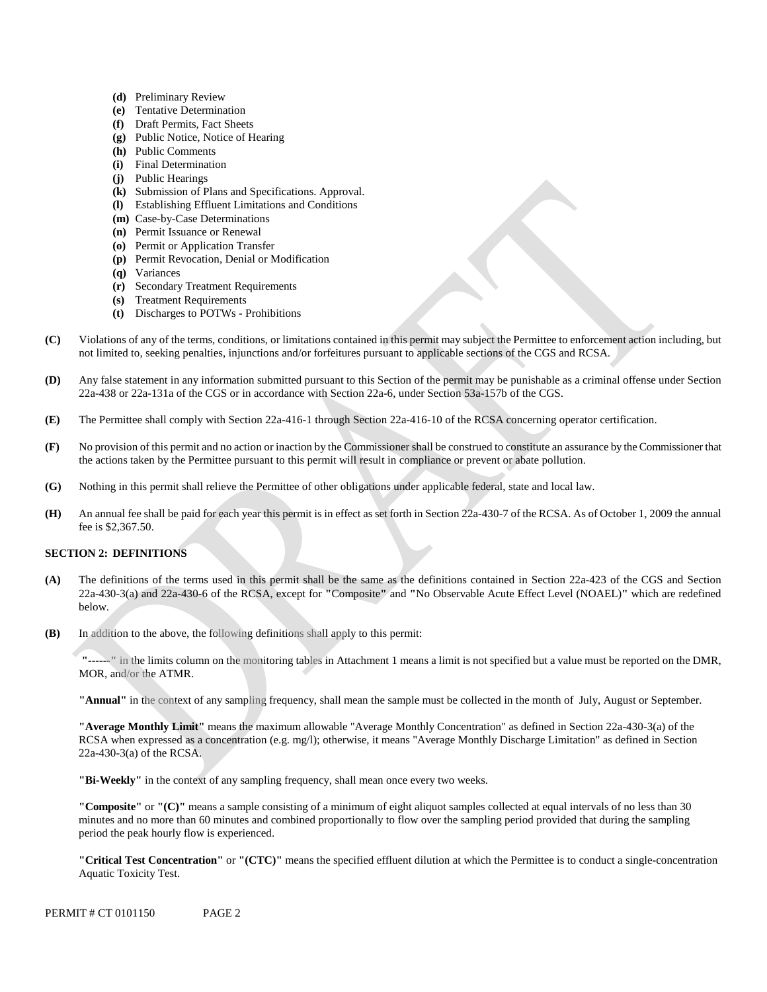- **(d)** Preliminary Review
- **(e)** Tentative Determination
- **(f)** Draft Permits, Fact Sheets
- **(g)** Public Notice, Notice of Hearing
- **(h)** Public Comments
- **(i)** Final Determination
- **(j)** Public Hearings
- **(k)** Submission of Plans and Specifications. Approval.
- **(l)** Establishing Effluent Limitations and Conditions
- **(m)** Case-by-Case Determinations
- **(n)** Permit Issuance or Renewal
- **(o)** Permit or Application Transfer
- **(p)** Permit Revocation, Denial or Modification
- **(q)** Variances
- **(r)** Secondary Treatment Requirements
- **(s)** Treatment Requirements
- **(t)** Discharges to POTWs Prohibitions
- Violations of any of the terms, conditions, or limitations contained in this permit may subject the Permittee to enforcement action including, but **(C)** not limited to, seeking penalties, injunctions and/or forfeitures pursuant to applicable sections of the CGS and RCSA.
- **(D)** Any false statement in any information submitted pursuant to this Section of the permit may be punishable as a criminal offense under Section 22a-438 or 22a-131a of the CGS or in accordance with Section 22a-6, under Section 53a-157b of the CGS.
- **(E)** The Permittee shall comply with Section 22a-416-1 through Section 22a-416-10 of the RCSA concerning operator certification.
- No provision of this permit and no action or inaction by the Commissioner shall be construed to constitute an assurance by the Commissioner that **(F)** the actions taken by the Permittee pursuant to this permit will result in compliance or prevent or abate pollution.
- **(G)** Nothing in this permit shall relieve the Permittee of other obligations under applicable federal, state and local law.
- An annual fee shall be paid for each year this permit is in effect as set forth in Section 22a-430-7 of the RCSA. As of October 1, 2009 the annual **(H)** fee is \$2,367.50.

### **SECTION 2: DEFINITIONS**

- **(A)** The definitions of the terms used in this permit shall be the same as the definitions contained in Section 22a-423 of the CGS and Section 22a-430-3(a) and 22a-430-6 of the RCSA, except for **"**Composite**"** and **"**No Observable Acute Effect Level (NOAEL)**"** which are redefined below.
- **(B)** In addition to the above, the following definitions shall apply to this permit:

**"------"** in the limits column on the monitoring tables in Attachment 1 means a limit is not specified but a value must be reported on the DMR, MOR, and/or the ATMR.

**"Annual"** in the context of any sampling frequency, shall mean the sample must be collected in the month of July, August or September.

**"Average Monthly Limit"** means the maximum allowable "Average Monthly Concentration" as defined in Section 22a-430-3(a) of the RCSA when expressed as a concentration (e.g. mg/l); otherwise, it means "Average Monthly Discharge Limitation" as defined in Section 22a-430-3(a) of the RCSA.

**"Bi-Weekly"** in the context of any sampling frequency, shall mean once every two weeks.

**"Composite"** or **"(C)"** means a sample consisting of a minimum of eight aliquot samples collected at equal intervals of no less than 30 minutes and no more than 60 minutes and combined proportionally to flow over the sampling period provided that during the sampling period the peak hourly flow is experienced.

**"Critical Test Concentration"** or **"(CTC)"** means the specified effluent dilution at which the Permittee is to conduct a single-concentration Aquatic Toxicity Test.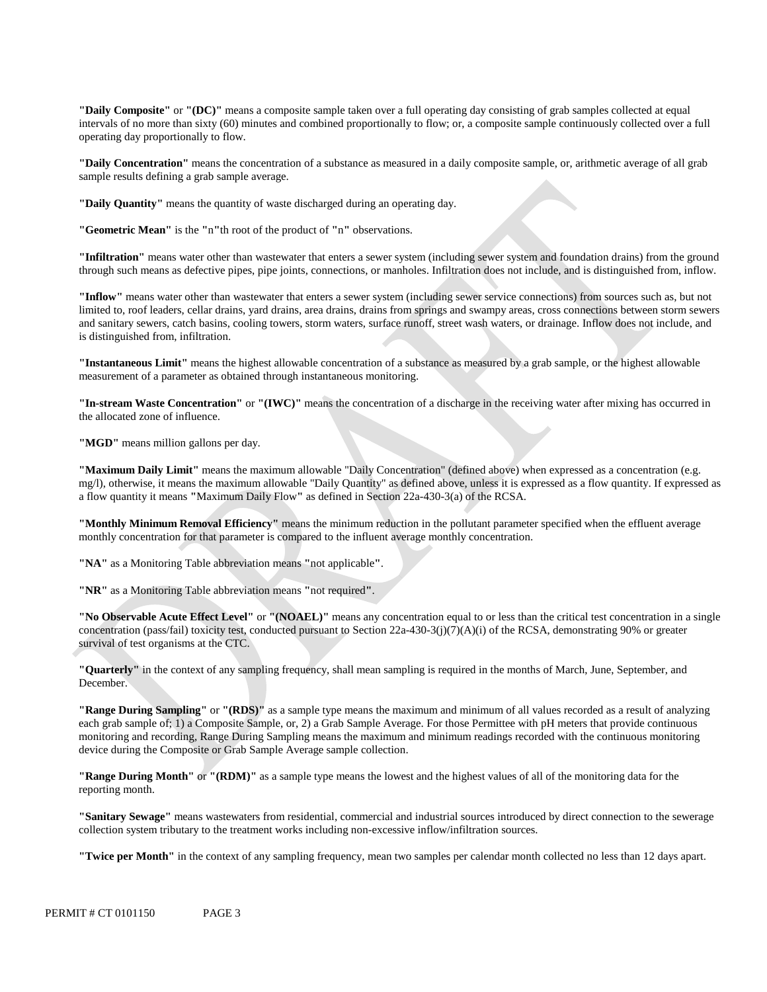**"Daily Composite"** or **"(DC)"** means a composite sample taken over a full operating day consisting of grab samples collected at equal intervals of no more than sixty (60) minutes and combined proportionally to flow; or, a composite sample continuously collected over a full operating day proportionally to flow.

**"Daily Concentration"** means the concentration of a substance as measured in a daily composite sample, or, arithmetic average of all grab sample results defining a grab sample average.

**"Daily Quantity"** means the quantity of waste discharged during an operating day.

**"Geometric Mean"** is the **"**n**"**th root of the product of **"**n**"** observations.

**"Infiltration"** means water other than wastewater that enters a sewer system (including sewer system and foundation drains) from the ground through such means as defective pipes, pipe joints, connections, or manholes. Infiltration does not include, and is distinguished from, inflow.

 is distinguished from, infiltration. **"Inflow"** means water other than wastewater that enters a sewer system (including sewer service connections) from sources such as, but not limited to, roof leaders, cellar drains, yard drains, area drains, drains from springs and swampy areas, cross connections between storm sewers and sanitary sewers, catch basins, cooling towers, storm waters, surface runoff, street wash waters, or drainage. Inflow does not include, and

**"Instantaneous Limit"** means the highest allowable concentration of a substance as measured by a grab sample, or the highest allowable measurement of a parameter as obtained through instantaneous monitoring.

**"In-stream Waste Concentration"** or **"(IWC)"** means the concentration of a discharge in the receiving water after mixing has occurred in the allocated zone of influence.

"MGD" means million gallons per day.

**"Maximum Daily Limit"** means the maximum allowable "Daily Concentration" (defined above) when expressed as a concentration (e.g. mg/l), otherwise, it means the maximum allowable "Daily Quantity" as defined above, unless it is expressed as a flow quantity. If expressed as a flow quantity it means **"**Maximum Daily Flow**"** as defined in Section 22a-430-3(a) of the RCSA.

**"Monthly Minimum Removal Efficiency"** means the minimum reduction in the pollutant parameter specified when the effluent average monthly concentration for that parameter is compared to the influent average monthly concentration.

**"NA"** as a Monitoring Table abbreviation means **"**not applicable**"**.

**"NR"** as a Monitoring Table abbreviation means **"**not required**"**.

**"No Observable Acute Effect Level"** or **"(NOAEL)"** means any concentration equal to or less than the critical test concentration in a single concentration (pass/fail) toxicity test, conducted pursuant to Section 22a-430-3(j)(7)(A)(i) of the RCSA, demonstrating 90% or greater survival of test organisms at the CTC.

**"Quarterly"** in the context of any sampling frequency, shall mean sampling is required in the months of March, June, September, and December.

**"Range During Sampling"** or **"(RDS)"** as a sample type means the maximum and minimum of all values recorded as a result of analyzing each grab sample of; 1) a Composite Sample, or, 2) a Grab Sample Average. For those Permittee with pH meters that provide continuous monitoring and recording, Range During Sampling means the maximum and minimum readings recorded with the continuous monitoring device during the Composite or Grab Sample Average sample collection.

**"Range During Month"** or **"(RDM)"** as a sample type means the lowest and the highest values of all of the monitoring data for the reporting month.

**"Sanitary Sewage"** means wastewaters from residential, commercial and industrial sources introduced by direct connection to the sewerage collection system tributary to the treatment works including non-excessive inflow/infiltration sources.

**"Twice per Month"** in the context of any sampling frequency, mean two samples per calendar month collected no less than 12 days apart.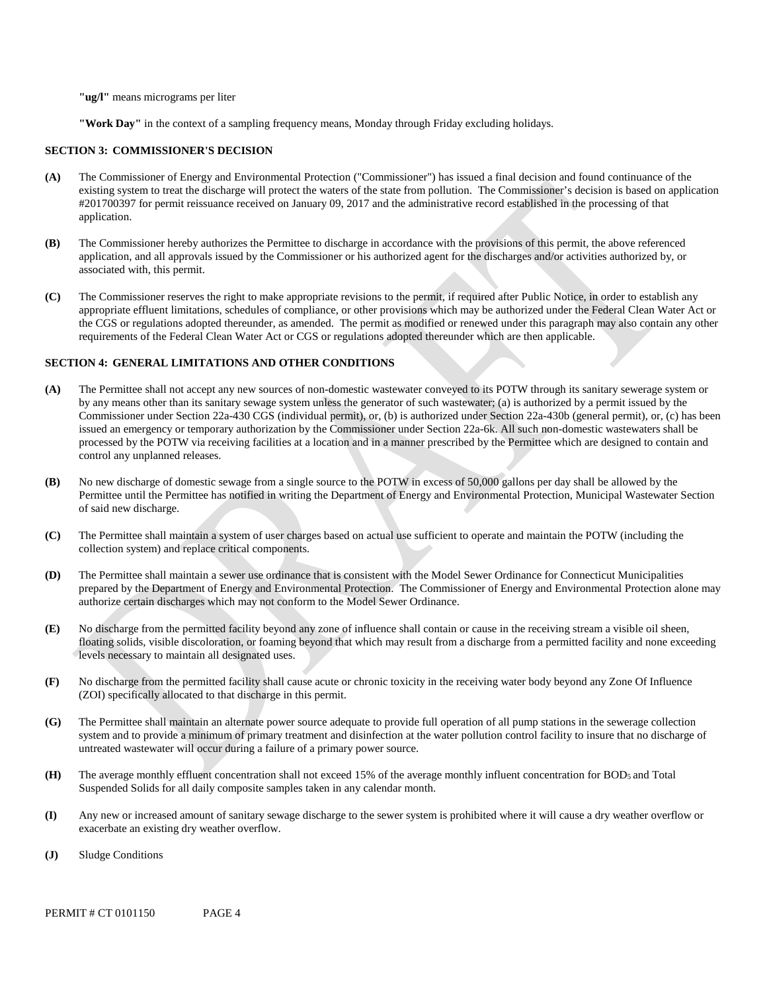**"ug/l"** means micrograms per liter

**"Work Day"** in the context of a sampling frequency means, Monday through Friday excluding holidays.

#### **SECTION 3: COMMISSIONER'S DECISION**

- existing system to treat the discharge will protect the waters of the state from pollution. The Commissioner's decision is based on application #201700397 for permit reissuance received on January 09, 2017 and the administrative record established in the processing of that **(A)** The Commissioner of Energy and Environmental Protection ("Commissioner") has issued a final decision and found continuance of the application.
- **(B)** The Commissioner hereby authorizes the Permittee to discharge in accordance with the provisions of this permit, the above referenced application, and all approvals issued by the Commissioner or his authorized agent for the discharges and/or activities authorized by, or associated with, this permit.
- **(C)** The Commissioner reserves the right to make appropriate revisions to the permit, if required after Public Notice, in order to establish any appropriate effluent limitations, schedules of compliance, or other provisions which may be authorized under the Federal Clean Water Act or the CGS or regulations adopted thereunder, as amended. The permit as modified or renewed under this paragraph may also contain any other requirements of the Federal Clean Water Act or CGS or regulations adopted thereunder which are then applicable.

#### **SECTION 4: GENERAL LIMITATIONS AND OTHER CONDITIONS**

- **(A)** The Permittee shall not accept any new sources of non-domestic wastewater conveyed to its POTW through its sanitary sewerage system or by any means other than its sanitary sewage system unless the generator of such wastewater; (a) is authorized by a permit issued by the Commissioner under Section 22a-430 CGS (individual permit), or, (b) is authorized under Section 22a-430b (general permit), or, (c) has been issued an emergency or temporary authorization by the Commissioner under Section 22a-6k. All such non-domestic wastewaters shall be processed by the POTW via receiving facilities at a location and in a manner prescribed by the Permittee which are designed to contain and control any unplanned releases.
- **(B)** No new discharge of domestic sewage from a single source to the POTW in excess of 50,000 gallons per day shall be allowed by the Permittee until the Permittee has notified in writing the Department of Energy and Environmental Protection, Municipal Wastewater Section of said new discharge.
- **(C)** The Permittee shall maintain a system of user charges based on actual use sufficient to operate and maintain the POTW (including the collection system) and replace critical components.
- **(D)** The Permittee shall maintain a sewer use ordinance that is consistent with the Model Sewer Ordinance for Connecticut Municipalities prepared by the Department of Energy and Environmental Protection. The Commissioner of Energy and Environmental Protection alone may authorize certain discharges which may not conform to the Model Sewer Ordinance.
- **(E)** No discharge from the permitted facility beyond any zone of influence shall contain or cause in the receiving stream a visible oil sheen, floating solids, visible discoloration, or foaming beyond that which may result from a discharge from a permitted facility and none exceeding levels necessary to maintain all designated uses.
- **(F)** No discharge from the permitted facility shall cause acute or chronic toxicity in the receiving water body beyond any Zone Of Influence (ZOI) specifically allocated to that discharge in this permit.
- **(G)** The Permittee shall maintain an alternate power source adequate to provide full operation of all pump stations in the sewerage collection system and to provide a minimum of primary treatment and disinfection at the water pollution control facility to insure that no discharge of untreated wastewater will occur during a failure of a primary power source.
- **(H)** The average monthly effluent concentration shall not exceed 15% of the average monthly influent concentration for BOD5 and Total Suspended Solids for all daily composite samples taken in any calendar month.
- **(I)** Any new or increased amount of sanitary sewage discharge to the sewer system is prohibited where it will cause a dry weather overflow or exacerbate an existing dry weather overflow.
- **(J)** Sludge Conditions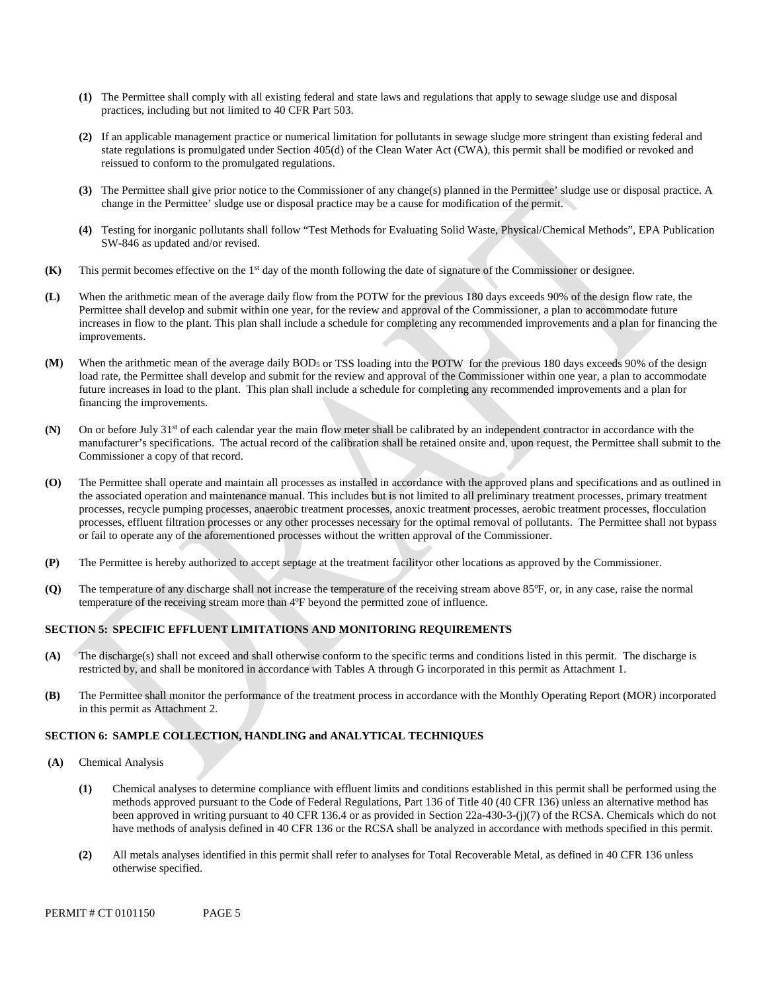- **(1)** The Permittee shall comply with all existing federal and state laws and regulations that apply to sewage sludge use and disposal practices, including but not limited to 40 CFR Part 503.
- **(2)** If an applicable management practice or numerical limitation for pollutants in sewage sludge more stringent than existing federal and state regulations is promulgated under Section 405(d) of the Clean Water Act (CWA), this permit shall be modified or revoked and reissued to conform to the promulgated regulations.
- **(3)** The Permittee shall give prior notice to the Commissioner of any change(s) planned in the Permittee' sludge use or disposal practice. A change in the Permittee' sludge use or disposal practice may be a cause for modification of the permit.
- **(4)** Testing for inorganic pollutants shall follow "Test Methods for Evaluating Solid Waste, Physical/Chemical Methods", EPA Publication SW-846 as updated and/or revised.
- **(K)** This permit becomes effective on the 1<sup>st</sup> day of the month following the date of signature of the Commissioner or designee.
- improvements. **(L)** When the arithmetic mean of the average daily flow from the POTW for the previous 180 days exceeds 90% of the design flow rate, the Permittee shall develop and submit within one year, for the review and approval of the Commissioner, a plan to accommodate future increases in flow to the plant. This plan shall include a schedule for completing any recommended improvements and a plan for financing the
- **(M)** When the arithmetic mean of the average daily BOD5 or TSS loading into the POTW for the previous 180 days exceeds 90% of the design load rate, the Permittee shall develop and submit for the review and approval of the Commissioner within one year, a plan to accommodate future increases in load to the plant. This plan shall include a schedule for completing any recommended improvements and a plan for financing the improvements.
- **(N)** On or before July 31st of each calendar year the main flow meter shall be calibrated by an independent contractor in accordance with the manufacturer's specifications. The actual record of the calibration shall be retained onsite and, upon request, the Permittee shall submit to the Commissioner a copy of that record.
- **(O)** The Permittee shall operate and maintain all processes as installed in accordance with the approved plans and specifications and as outlined in the associated operation and maintenance manual. This includes but is not limited to all preliminary treatment processes, primary treatment processes, recycle pumping processes, anaerobic treatment processes, anoxic treatment processes, aerobic treatment processes, flocculation processes, effluent filtration processes or any other processes necessary for the optimal removal of pollutants. The Permittee shall not bypass or fail to operate any of the aforementioned processes without the written approval of the Commissioner.
- **(P)** The Permittee is hereby authorized to accept septage at the treatment facilityor other locations as approved by the Commissioner.
- **(Q)** The temperature of any discharge shall not increase the temperature of the receiving stream above 85ºF, or, in any case, raise the normal temperature of the receiving stream more than 4ºF beyond the permitted zone of influence.

### **SECTION 5: SPECIFIC EFFLUENT LIMITATIONS AND MONITORING REQUIREMENTS**

- restricted by, and shall be monitored in accordance with Tables A through G incorporated in this permit as Attachment 1. **(A)** The discharge(s) shall not exceed and shall otherwise conform to the specific terms and conditions listed in this permit. The discharge is
- **(B)** The Permittee shall monitor the performance of the treatment process in accordance with the Monthly Operating Report (MOR) incorporated in this permit as Attachment 2.

#### **SECTION 6: SAMPLE COLLECTION, HANDLING and ANALYTICAL TECHNIQUES**

- $(A)$ **(A)** Chemical Analysis
	- **(1)** Chemical analyses to determine compliance with effluent limits and conditions established in this permit shall be performed using the methods approved pursuant to the Code of Federal Regulations, Part 136 of Title 40 (40 CFR 136) unless an alternative method has been approved in writing pursuant to 40 CFR 136.4 or as provided in Section 22a-430-3-(j)(7) of the RCSA. Chemicals which do not have methods of analysis defined in 40 CFR 136 or the RCSA shall be analyzed in accordance with methods specified in this permit.
	- **(2)** All metals analyses identified in this permit shall refer to analyses for Total Recoverable Metal, as defined in 40 CFR 136 unless otherwise specified.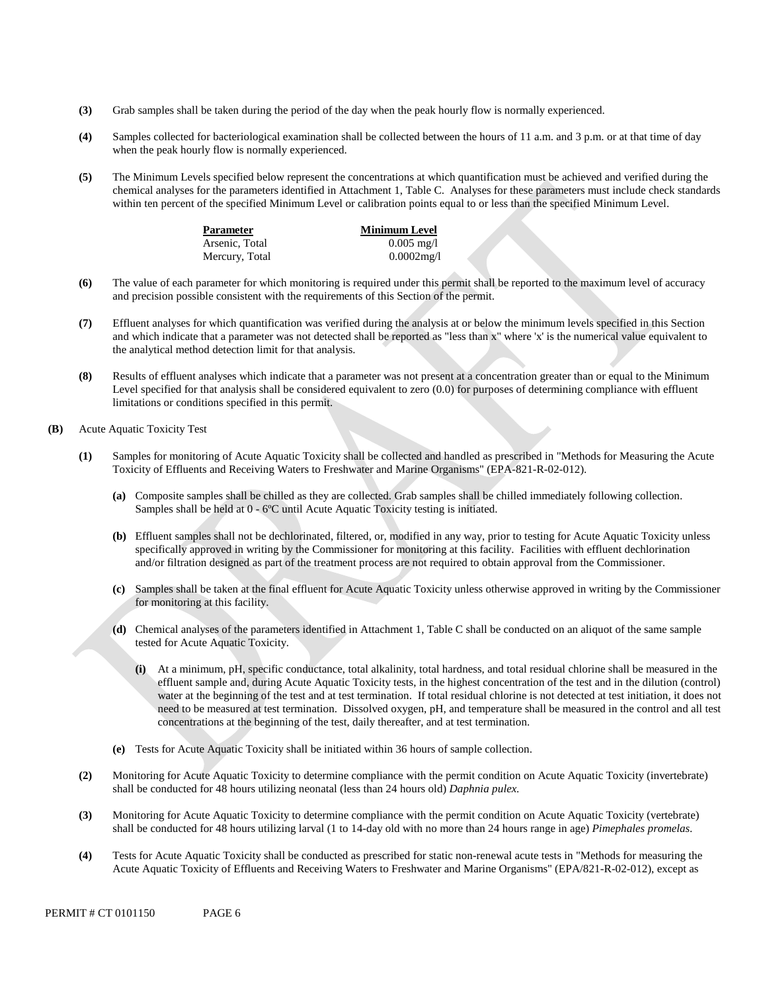- **(3)** Grab samples shall be taken during the period of the day when the peak hourly flow is normally experienced.
- **(4)** Samples collected for bacteriological examination shall be collected between the hours of 11 a.m. and 3 p.m. or at that time of day when the peak hourly flow is normally experienced.
- **(5)** The Minimum Levels specified below represent the concentrations at which quantification must be achieved and verified during the chemical analyses for the parameters identified in Attachment 1, Table C. Analyses for these parameters must include check standards within ten percent of the specified Minimum Level or calibration points equal to or less than the specified Minimum Level.

| Parameter      | <b>Minimum Level</b> |
|----------------|----------------------|
| Arsenic, Total | $0.005 \text{ mg}/1$ |
| Mercury, Total | $0.0002$ mg/l        |

- **(6)** The value of each parameter for which monitoring is required under this permit shall be reported to the maximum level of accuracy and precision possible consistent with the requirements of this Section of the permit.
- **(7)** Effluent analyses for which quantification was verified during the analysis at or below the minimum levels specified in this Section and which indicate that a parameter was not detected shall be reported as "less than x" where 'x' is the numerical value equivalent to the analytical method detection limit for that analysis.
- **(8)** Results of effluent analyses which indicate that a parameter was not present at a concentration greater than or equal to the Minimum Level specified for that analysis shall be considered equivalent to zero  $(0.0)$  for purposes of determining compliance with effluent limitations or conditions specified in this permit.
- **(B)** Acute Aquatic Toxicity Test
	- **(1)** Samples for monitoring of Acute Aquatic Toxicity shall be collected and handled as prescribed in "Methods for Measuring the Acute Toxicity of Effluents and Receiving Waters to Freshwater and Marine Organisms" (EPA-821-R-02-012).
		- **(a)** Composite samples shall be chilled as they are collected. Grab samples shall be chilled immediately following collection. Samples shall be held at 0 - 6ºC until Acute Aquatic Toxicity testing is initiated.
		- **(b)** Effluent samples shall not be dechlorinated, filtered, or, modified in any way, prior to testing for Acute Aquatic Toxicity unless specifically approved in writing by the Commissioner for monitoring at this facility. Facilities with effluent dechlorination and/or filtration designed as part of the treatment process are not required to obtain approval from the Commissioner.
		- **(c)** Samples shall be taken at the final effluent for Acute Aquatic Toxicity unless otherwise approved in writing by the Commissioner for monitoring at this facility.
		- **(d)** Chemical analyses of the parameters identified in Attachment 1, Table C shall be conducted on an aliquot of the same sample tested for Acute Aquatic Toxicity.
			- **(i)** At a minimum, pH, specific conductance, total alkalinity, total hardness, and total residual chlorine shall be measured in the effluent sample and, during Acute Aquatic Toxicity tests, in the highest concentration of the test and in the dilution (control) water at the beginning of the test and at test termination. If total residual chlorine is not detected at test initiation, it does not need to be measured at test termination. Dissolved oxygen, pH, and temperature shall be measured in the control and all test concentrations at the beginning of the test, daily thereafter, and at test termination.
		- **(e)** Tests for Acute Aquatic Toxicity shall be initiated within 36 hours of sample collection.
	- **(2)** Monitoring for Acute Aquatic Toxicity to determine compliance with the permit condition on Acute Aquatic Toxicity (invertebrate) shall be conducted for 48 hours utilizing neonatal (less than 24 hours old) *Daphnia pulex*.
	- **(3)** Monitoring for Acute Aquatic Toxicity to determine compliance with the permit condition on Acute Aquatic Toxicity (vertebrate) shall be conducted for 48 hours utilizing larval (1 to 14-day old with no more than 24 hours range in age) *Pimephales promelas*.
	- **(4)** Tests for Acute Aquatic Toxicity shall be conducted as prescribed for static non-renewal acute tests in "Methods for measuring the Acute Aquatic Toxicity of Effluents and Receiving Waters to Freshwater and Marine Organisms" (EPA/821-R-02-012), except as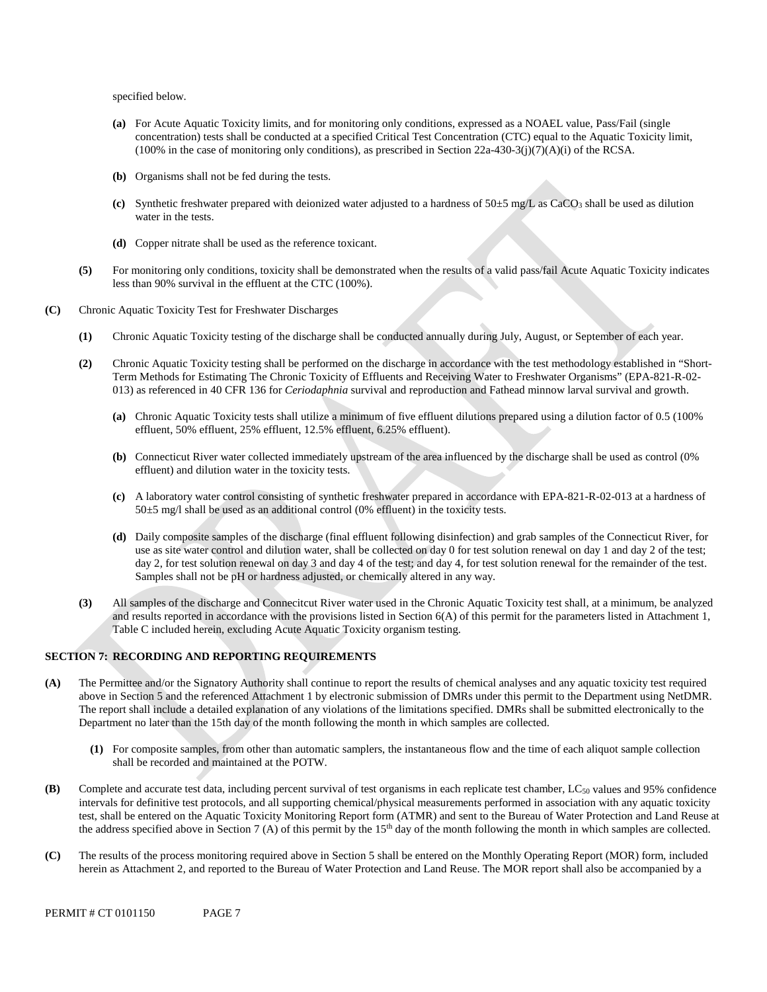specified below.

- **(a)** For Acute Aquatic Toxicity limits, and for monitoring only conditions, expressed as a NOAEL value, Pass/Fail (single concentration) tests shall be conducted at a specified Critical Test Concentration (CTC) equal to the Aquatic Toxicity limit, (100% in the case of monitoring only conditions), as prescribed in Section 22a-430-3(j)(7)(A)(i) of the RCSA.
- **(b)** Organisms shall not be fed during the tests.
- (c) Synthetic freshwater prepared with deionized water adjusted to a hardness of  $50±5$  mg/L as CaCO<sub>3</sub> shall be used as dilution water in the tests.
- **(d)** Copper nitrate shall be used as the reference toxicant.
- **(5)** For monitoring only conditions, toxicity shall be demonstrated when the results of a valid pass/fail Acute Aquatic Toxicity indicates less than 90% survival in the effluent at the CTC (100%).
- **(C)** Chronic Aquatic Toxicity Test for Freshwater Discharges
	- **(1)** Chronic Aquatic Toxicity testing of the discharge shall be conducted annually during July, August, or September of each year.
	- **(2)** Chronic Aquatic Toxicity testing shall be performed on the discharge in accordance with the test methodology established in "Short-Term Methods for Estimating The Chronic Toxicity of Effluents and Receiving Water to Freshwater Organisms" (EPA-821-R-02 013) as referenced in 40 CFR 136 for *Ceriodaphnia* survival and reproduction and Fathead minnow larval survival and growth.
		- **(a)** Chronic Aquatic Toxicity tests shall utilize a minimum of five effluent dilutions prepared using a dilution factor of 0.5 (100% effluent, 50% effluent, 25% effluent, 12.5% effluent, 6.25% effluent).
		- **(b)** Connecticut River water collected immediately upstream of the area influenced by the discharge shall be used as control (0% effluent) and dilution water in the toxicity tests.
		- **(c)** A laboratory water control consisting of synthetic freshwater prepared in accordance with EPA-821-R-02-013 at a hardness of 50±5 mg/l shall be used as an additional control (0% effluent) in the toxicity tests.
		- day 2, for test solution renewal on day 3 and day 4 of the test; and day 4, for test solution renewal for the remainder of the test. Samples shall not be pH or hardness adjusted, or chemically altered in any way. **(d)** Daily composite samples of the discharge (final effluent following disinfection) and grab samples of the Connecticut River, for use as site water control and dilution water, shall be collected on day 0 for test solution renewal on day 1 and day 2 of the test;
	- **(3)** All samples of the discharge and Connecitcut River water used in the Chronic Aquatic Toxicity test shall, at a minimum, be analyzed and results reported in accordance with the provisions listed in Section 6(A) of this permit for the parameters listed in Attachment 1, Table C included herein, excluding Acute Aquatic Toxicity organism testing.

### **SECTION 7: RECORDING AND REPORTING REQUIREMENTS**

- **(A)** The Permittee and/or the Signatory Authority shall continue to report the results of chemical analyses and any aquatic toxicity test required above in Section 5 and the referenced Attachment 1 by electronic submission of DMRs under this permit to the Department using NetDMR. The report shall include a detailed explanation of any violations of the limitations specified. DMRs shall be submitted electronically to the Department no later than the 15th day of the month following the month in which samples are collected.
	- **(1)** For composite samples, from other than automatic samplers, the instantaneous flow and the time of each aliquot sample collection shall be recorded and maintained at the POTW.
- **(B)** Complete and accurate test data, including percent survival of test organisms in each replicate test chamber, LC<sub>50</sub> values and 95% confidence intervals for definitive test protocols, and all supporting chemical/physical measurements performed in association with any aquatic toxicity test, shall be entered on the Aquatic Toxicity Monitoring Report form (ATMR) and sent to the Bureau of Water Protection and Land Reuse at the address specified above in Section 7 (A) of this permit by the 15<sup>th</sup> day of the month following the month in which samples are collected.
- **(C)** The results of the process monitoring required above in Section 5 shall be entered on the Monthly Operating Report (MOR) form, included herein as Attachment 2, and reported to the Bureau of Water Protection and Land Reuse. The MOR report shall also be accompanied by a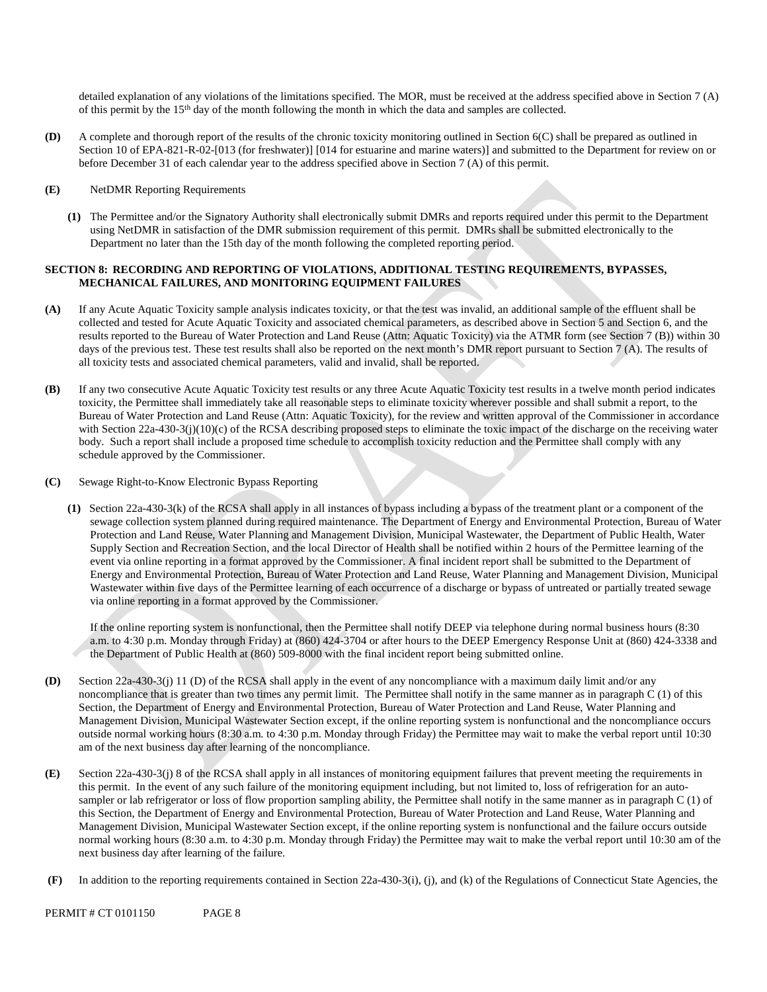detailed explanation of any violations of the limitations specified. The MOR, must be received at the address specified above in Section 7 (A) of this permit by the 15th day of the month following the month in which the data and samples are collected.

**(D)** A complete and thorough report of the results of the chronic toxicity monitoring outlined in Section 6(C) shall be prepared as outlined in Section 10 of EPA-821-R-02-[013 (for freshwater)] [014 for estuarine and marine waters)] and submitted to the Department for review on or before December 31 of each calendar year to the address specified above in Section 7 (A) of this permit.

#### **(E)** NetDMR Reporting Requirements

**(1)** The Permittee and/or the Signatory Authority shall electronically submit DMRs and reports required under this permit to the Department using NetDMR in satisfaction of the DMR submission requirement of this permit. DMRs shall be submitted electronically to the Department no later than the 15th day of the month following the completed reporting period.

### **SECTION 8: RECORDING AND REPORTING OF VIOLATIONS, ADDITIONAL TESTING REQUIREMENTS, BYPASSES, MECHANICAL FAILURES, AND MONITORING EQUIPMENT FAILURES**

- **(A)** If any Acute Aquatic Toxicity sample analysis indicates toxicity, or that the test was invalid, an additional sample of the effluent shall be collected and tested for Acute Aquatic Toxicity and associated chemical parameters, as described above in Section 5 and Section 6, and the results reported to the Bureau of Water Protection and Land Reuse (Attn: Aquatic Toxicity) via the ATMR form (see Section 7 (B)) within 30 days of the previous test. These test results shall also be reported on the next month's DMR report pursuant to Section 7 (A). The results of all toxicity tests and associated chemical parameters, valid and invalid, shall be reported.
- **(B)** If any two consecutive Acute Aquatic Toxicity test results or any three Acute Aquatic Toxicity test results in a twelve month period indicates toxicity, the Permittee shall immediately take all reasonable steps to eliminate toxicity wherever possible and shall submit a report, to the Bureau of Water Protection and Land Reuse (Attn: Aquatic Toxicity), for the review and written approval of the Commissioner in accordance with Section 22a-430-3(j)(10)(c) of the RCSA describing proposed steps to eliminate the toxic impact of the discharge on the receiving water body. Such a report shall include a proposed time schedule to accomplish toxicity reduction and the Permittee shall comply with any schedule approved by the Commissioner.
- **(C)** Sewage Right-to-Know Electronic Bypass Reporting
	- **(1)** Section 22a-430-3(k) of the RCSA shall apply in all instances of bypass including a bypass of the treatment plant or a component of the sewage collection system planned during required maintenance. The Department of Energy and Environmental Protection, Bureau of Water Protection and Land Reuse, Water Planning and Management Division, Municipal Wastewater, the Department of Public Health, Water Supply Section and Recreation Section, and the local Director of Health shall be notified within 2 hours of the Permittee learning of the event via online reporting in a format approved by the Commissioner. A final incident report shall be submitted to the Department of Energy and Environmental Protection, Bureau of Water Protection and Land Reuse, Water Planning and Management Division, Municipal Wastewater within five days of the Permittee learning of each occurrence of a discharge or bypass of untreated or partially treated sewage via online reporting in a format approved by the Commissioner.

If the online reporting system is nonfunctional, then the Permittee shall notify DEEP via telephone during normal business hours (8:30 a.m. to 4:30 p.m. Monday through Friday) at (860) 424-3704 or after hours to the DEEP Emergency Response Unit at (860) 424-3338 and the Department of Public Health at (860) 509-8000 with the final incident report being submitted online.

- **(D)** Section 22a-430-3(j) 11 (D) of the RCSA shall apply in the event of any noncompliance with a maximum daily limit and/or any noncompliance that is greater than two times any permit limit. The Permittee shall notify in the same manner as in paragraph C (1) of this Section, the Department of Energy and Environmental Protection, Bureau of Water Protection and Land Reuse, Water Planning and Management Division, Municipal Wastewater Section except, if the online reporting system is nonfunctional and the noncompliance occurs outside normal working hours (8:30 a.m. to 4:30 p.m. Monday through Friday) the Permittee may wait to make the verbal report until 10:30 am of the next business day after learning of the noncompliance.
- **(E)** Section 22a-430-3(j) 8 of the RCSA shall apply in all instances of monitoring equipment failures that prevent meeting the requirements in this permit. In the event of any such failure of the monitoring equipment including, but not limited to, loss of refrigeration for an autosampler or lab refrigerator or loss of flow proportion sampling ability, the Permittee shall notify in the same manner as in paragraph C (1) of this Section, the Department of Energy and Environmental Protection, Bureau of Water Protection and Land Reuse, Water Planning and Management Division, Municipal Wastewater Section except, if the online reporting system is nonfunctional and the failure occurs outside normal working hours (8:30 a.m. to 4:30 p.m. Monday through Friday) the Permittee may wait to make the verbal report until 10:30 am of the next business day after learning of the failure.
- **(F)** In addition to the reporting requirements contained in Section 22a-430-3(i), (j), and (k) of the Regulations of Connecticut State Agencies, the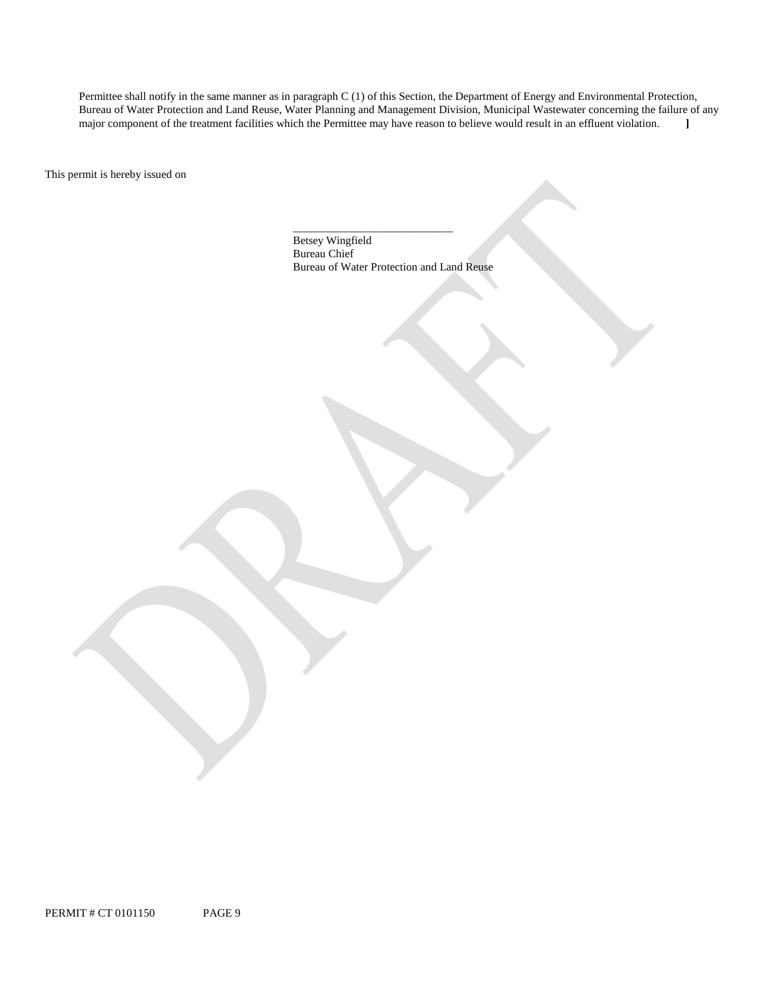major component of the treatment facilities which the Permittee may have reason to believe would result in an effluent violation. **]**  Permittee shall notify in the same manner as in paragraph C (1) of this Section, the Department of Energy and Environmental Protection, Bureau of Water Protection and Land Reuse, Water Planning and Management Division, Municipal Wastewater concerning the failure of any

This permit is hereby issued on

\_\_\_\_\_\_\_\_\_\_\_\_\_\_\_\_\_\_\_\_\_\_\_\_\_\_\_\_ Betsey Wingfield Bureau Chief Bureau of Water Protection and Land Reuse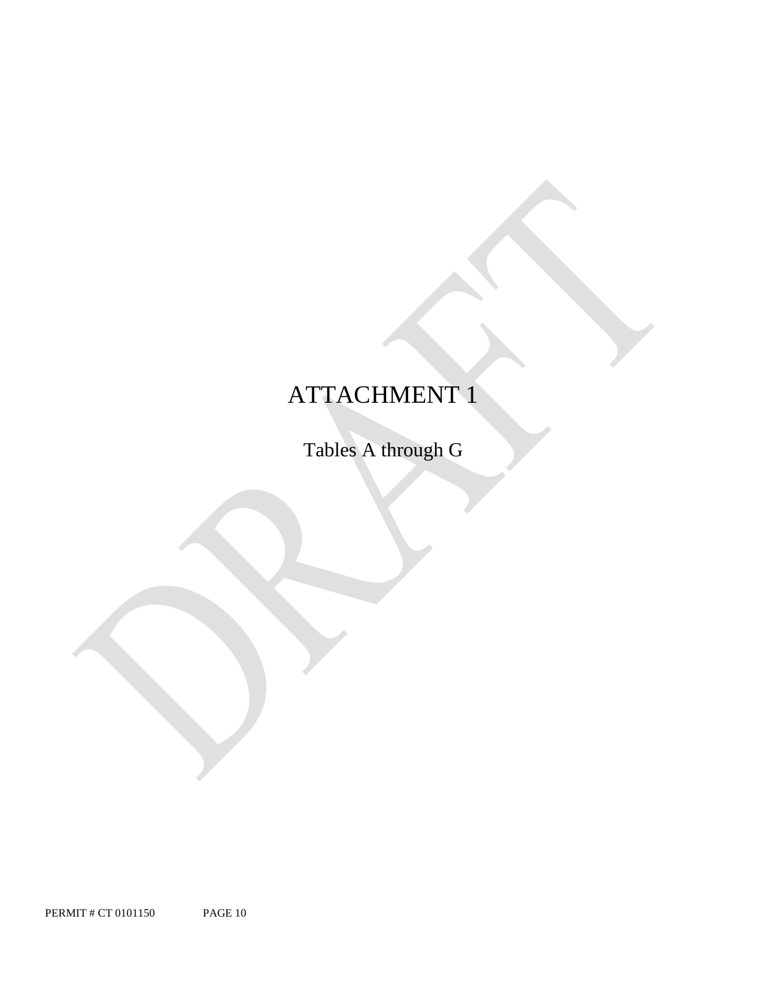# ATTACHMENT 1

Tables A through G

PERMIT # CT 0101150 PAGE 10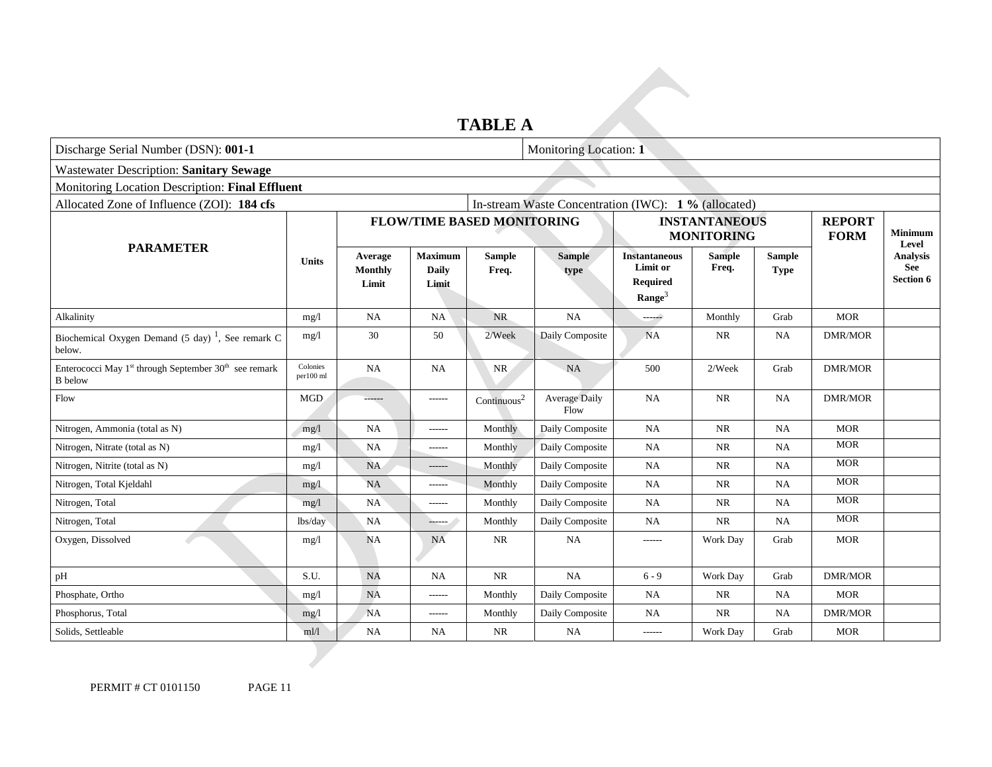### **TABLE A**

| Discharge Serial Number (DSN): 001-1                                                            |                       |                                    |                                         |                         | Monitoring Location: 1                               |                                                                           |                        |                              |                |                                              |
|-------------------------------------------------------------------------------------------------|-----------------------|------------------------------------|-----------------------------------------|-------------------------|------------------------------------------------------|---------------------------------------------------------------------------|------------------------|------------------------------|----------------|----------------------------------------------|
| <b>Wastewater Description: Sanitary Sewage</b>                                                  |                       |                                    |                                         |                         |                                                      |                                                                           |                        |                              |                |                                              |
| Monitoring Location Description: Final Effluent                                                 |                       |                                    |                                         |                         |                                                      |                                                                           |                        |                              |                |                                              |
| Allocated Zone of Influence (ZOI): 184 cfs                                                      |                       |                                    |                                         |                         | In-stream Waste Concentration (IWC): 1 % (allocated) |                                                                           |                        |                              |                |                                              |
|                                                                                                 |                       | <b>FLOW/TIME BASED MONITORING</b>  |                                         |                         |                                                      | <b>INSTANTANEOUS</b><br><b>MONITORING</b>                                 |                        | <b>REPORT</b><br><b>FORM</b> | <b>Minimum</b> |                                              |
| <b>PARAMETER</b>                                                                                | <b>Units</b>          | Average<br><b>Monthly</b><br>Limit | <b>Maximum</b><br><b>Daily</b><br>Limit | <b>Sample</b><br>Freq.  | <b>Sample</b><br>type                                | <b>Instantaneous</b><br><b>Limit or</b><br>Required<br>Range <sup>3</sup> | <b>Sample</b><br>Freq. | <b>Sample</b><br><b>Type</b> |                | Level<br><b>Analysis</b><br>See<br>Section 6 |
| Alkalinity                                                                                      | mg/l                  | <b>NA</b>                          | <b>NA</b>                               | NR.                     | NA                                                   | شبب                                                                       | Monthly                | Grab                         | <b>MOR</b>     |                                              |
| Biochemical Oxygen Demand (5 day) <sup>1</sup> , See remark C<br>below.                         | mg/1                  | 30                                 | 50                                      | 2/Week                  | Daily Composite                                      | <b>NA</b>                                                                 | <b>NR</b>              | <b>NA</b>                    | <b>DMR/MOR</b> |                                              |
| Enterococci May 1 <sup>st</sup> through September 30 <sup>th</sup> see remark<br><b>B</b> below | Colonies<br>per100 ml | NA                                 | <b>NA</b>                               | <b>NR</b>               | <b>NA</b>                                            | 500                                                                       | 2/Week                 | Grab                         | <b>DMR/MOR</b> |                                              |
| Flow                                                                                            | <b>MGD</b>            | ------                             | ------                                  | Continuous <sup>2</sup> | <b>Average Daily</b><br>Flow                         | <b>NA</b>                                                                 | <b>NR</b>              | <b>NA</b>                    | <b>DMR/MOR</b> |                                              |
| Nitrogen, Ammonia (total as N)                                                                  | mg/l                  | <b>NA</b>                          | $-----1$                                | Monthly                 | Daily Composite                                      | <b>NA</b>                                                                 | <b>NR</b>              | NA                           | <b>MOR</b>     |                                              |
| Nitrogen, Nitrate (total as N)                                                                  | mg/1                  | <b>NA</b>                          | $-----$                                 | Monthly                 | Daily Composite                                      | NA                                                                        | <b>NR</b>              | <b>NA</b>                    | <b>MOR</b>     |                                              |
| Nitrogen, Nitrite (total as N)                                                                  | mg/1                  | <b>NA</b>                          | ------                                  | Monthly                 | Daily Composite                                      | <b>NA</b>                                                                 | <b>NR</b>              | <b>NA</b>                    | <b>MOR</b>     |                                              |
| Nitrogen, Total Kjeldahl                                                                        | mg/1                  | <b>NA</b>                          | ------                                  | Monthly                 | Daily Composite                                      | <b>NA</b>                                                                 | <b>NR</b>              | <b>NA</b>                    | <b>MOR</b>     |                                              |
| Nitrogen, Total                                                                                 | mg/l                  | NA                                 | $-----$                                 | Monthly                 | Daily Composite                                      | NA                                                                        | <b>NR</b>              | NA                           | <b>MOR</b>     |                                              |
| Nitrogen, Total                                                                                 | lbs/day               | <b>NA</b>                          | $-200 - 100$                            | Monthly                 | Daily Composite                                      | NA                                                                        | <b>NR</b>              | <b>NA</b>                    | <b>MOR</b>     |                                              |
| Oxygen, Dissolved                                                                               | mg/1                  | <b>NA</b>                          | <b>NA</b>                               | <b>NR</b>               | NA                                                   | ------                                                                    | Work Day               | Grab                         | <b>MOR</b>     |                                              |
| pH                                                                                              | S.U.                  | <b>NA</b>                          | <b>NA</b>                               | <b>NR</b>               | NA                                                   | $6 - 9$                                                                   | Work Day               | Grab                         | <b>DMR/MOR</b> |                                              |
| Phosphate, Ortho                                                                                | mg/1                  | <b>NA</b>                          | $- - - - - -$                           | Monthly                 | Daily Composite                                      | NA                                                                        | NR                     | <b>NA</b>                    | <b>MOR</b>     |                                              |
| Phosphorus, Total                                                                               | mg/1                  | <b>NA</b>                          | ------                                  | Monthly                 | Daily Composite                                      | <b>NA</b>                                                                 | <b>NR</b>              | <b>NA</b>                    | <b>DMR/MOR</b> |                                              |
| Solids, Settleable                                                                              | ml/l                  | NA                                 | <b>NA</b>                               | <b>NR</b>               | NA                                                   | ------                                                                    | Work Day               | Grab                         | <b>MOR</b>     |                                              |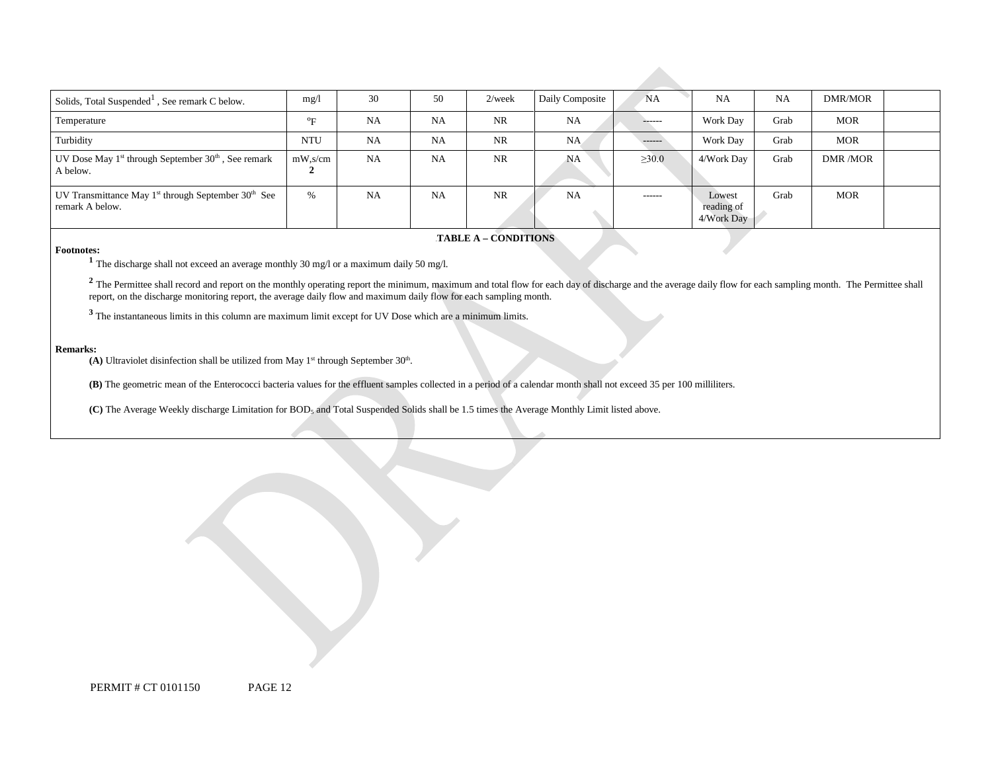| Solids, Total Suspended <sup>1</sup> , See remark C below.                              | mg/l             | 30        | 50        | $2$ /week | Daily Composite | NA            | <b>NA</b>                          | <b>NA</b> | DMR/MOR    |  |
|-----------------------------------------------------------------------------------------|------------------|-----------|-----------|-----------|-----------------|---------------|------------------------------------|-----------|------------|--|
| Temperature                                                                             | $\sigma_{\rm E}$ | <b>NA</b> | <b>NA</b> | <b>NR</b> | <b>NA</b>       | ------        | <b>Work Day</b>                    | Grab      | <b>MOR</b> |  |
| Turbidity                                                                               | <b>NTU</b>       | <b>NA</b> | <b>NA</b> | <b>NR</b> | NA.             | $---$         | Work Day                           | Grab      | <b>MOR</b> |  |
| UV Dose May 1 <sup>st</sup> through September 30 <sup>th</sup> , See remark<br>A below. | $mW$ , s/cm      | NA        | <b>NA</b> | <b>NR</b> | NA              | $\geq 30.0$   | 4/Work Dav                         | Grab      | DMR /MOR   |  |
| UV Transmittance May $1st$ through September 30 <sup>th</sup> See<br>remark A below.    | %                | <b>NA</b> | <b>NA</b> | <b>NR</b> | NA              | $- - - - - -$ | Lowest<br>reading of<br>4/Work Day | Grab      | <b>MOR</b> |  |

#### **FABLE A – CONDITIONS**

**Footnotes:** <sup>1</sup> The discharge shall not exceed an average monthly 30 mg/l or a maximum daily 50 mg/l.

<sup>2</sup> The Permittee shall record and report on the monthly operating report the minimum, maximum and total flow for each day of discharge and the average daily flow for each sampling month. The Permittee shall report, on the discharge monitoring report, the average daily flow and maximum daily flow for each sampling month.

**<sup>3</sup>**The instantaneous limits in this column are maximum limit except for UV Dose which are a minimum limits.

#### **Remarks:**

(A) Ultraviolet disinfection shall be utilized from May  $1<sup>st</sup>$  through September 30<sup>th</sup>.

**(B)** The geometric mean of the Enterococci bacteria values for the effluent samples collected in a period of a calendar month shall not exceed 35 per 100 milliliters.

**(C)** The Average Weekly discharge Limitation for BOD5 and Total Suspended Solids shall be 1.5 times the Average Monthly Limit listed above.

PERMIT # CT 0101150 PAGE 12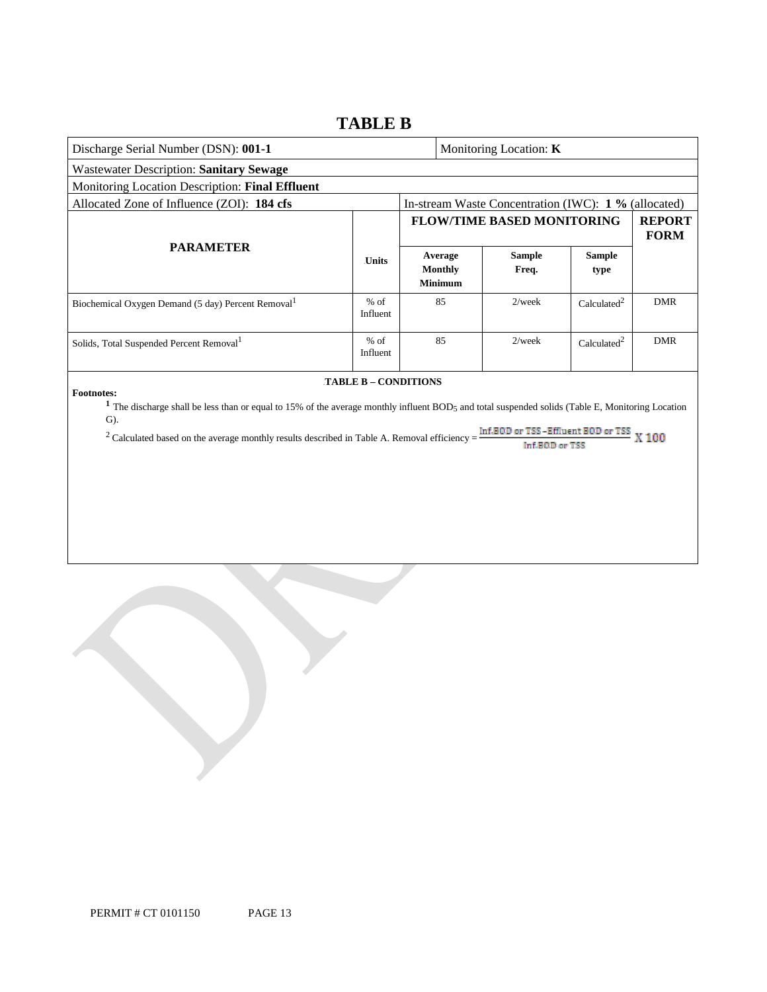### **TABLE B**

| Discharge Serial Number (DSN): 001-1                                                                                                                                                                                                                                                                              |                      |  |                                             | Monitoring Location: K                                |                         |                              |
|-------------------------------------------------------------------------------------------------------------------------------------------------------------------------------------------------------------------------------------------------------------------------------------------------------------------|----------------------|--|---------------------------------------------|-------------------------------------------------------|-------------------------|------------------------------|
| <b>Wastewater Description: Sanitary Sewage</b>                                                                                                                                                                                                                                                                    |                      |  |                                             |                                                       |                         |                              |
| Monitoring Location Description: Final Effluent                                                                                                                                                                                                                                                                   |                      |  |                                             |                                                       |                         |                              |
| Allocated Zone of Influence (ZOI): 184 cfs                                                                                                                                                                                                                                                                        |                      |  |                                             | In-stream Waste Concentration (IWC): 1 % (allocated)  |                         |                              |
|                                                                                                                                                                                                                                                                                                                   |                      |  |                                             | <b>FLOW/TIME BASED MONITORING</b>                     |                         | <b>REPORT</b><br><b>FORM</b> |
| <b>PARAMETER</b>                                                                                                                                                                                                                                                                                                  |                      |  | Average<br><b>Monthly</b><br><b>Minimum</b> | <b>Sample</b><br>Freq.                                | <b>Sample</b><br>type   |                              |
| Biochemical Oxygen Demand (5 day) Percent Removal <sup>1</sup>                                                                                                                                                                                                                                                    | $%$ of<br>Influent   |  | 85                                          | $2$ /week                                             | Calculated <sup>2</sup> | <b>DMR</b>                   |
| Solids, Total Suspended Percent Removal <sup>1</sup>                                                                                                                                                                                                                                                              | $%$ of<br>Influent   |  | 85                                          | $2$ /week                                             | Calculated <sup>2</sup> | <b>DMR</b>                   |
| <b>Footnotes:</b><br><sup>1</sup> The discharge shall be less than or equal to 15% of the average monthly influent BOD <sub>5</sub> and total suspended solids (Table E, Monitoring Location<br>$G$ ).<br><sup>2</sup> Calculated based on the average monthly results described in Table A. Removal efficiency = | TABLE B - CONDITIONS |  |                                             | Inf.BOD or TSS -Effluent BOD or TSS<br>Inf.B00 or TSS |                         | <b>X100</b>                  |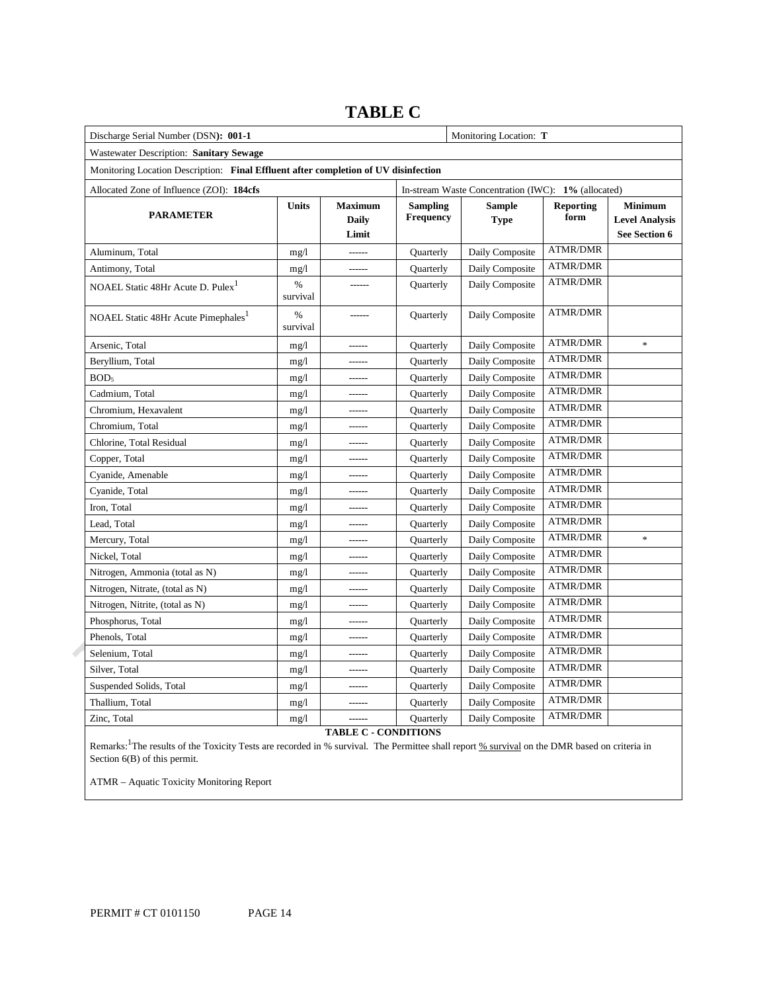| Discharge Serial Number (DSN): 001-1                                                |                  |                                  |                              | Monitoring Location: T                              |                          |                                                          |
|-------------------------------------------------------------------------------------|------------------|----------------------------------|------------------------------|-----------------------------------------------------|--------------------------|----------------------------------------------------------|
| Wastewater Description: Sanitary Sewage                                             |                  |                                  |                              |                                                     |                          |                                                          |
| Monitoring Location Description: Final Effluent after completion of UV disinfection |                  |                                  |                              |                                                     |                          |                                                          |
| Allocated Zone of Influence (ZOI): 184cfs                                           |                  |                                  |                              | In-stream Waste Concentration (IWC): 1% (allocated) |                          |                                                          |
| <b>PARAMETER</b>                                                                    | <b>Units</b>     | <b>Maximum</b><br>Daily<br>Limit | <b>Sampling</b><br>Frequency | <b>Sample</b><br><b>Type</b>                        | <b>Reporting</b><br>form | <b>Minimum</b><br><b>Level Analysis</b><br>See Section 6 |
| Aluminum, Total                                                                     | mg/1             | ------                           | Quarterly                    | Daily Composite                                     | <b>ATMR/DMR</b>          |                                                          |
| Antimony, Total                                                                     | mg/1             | ------                           | <b>Quarterly</b>             | Daily Composite                                     | <b>ATMR/DMR</b>          |                                                          |
| NOAEL Static 48Hr Acute D. Pulex <sup>1</sup>                                       | %<br>survival    | ------                           | Quarterly                    | Daily Composite                                     | <b>ATMR/DMR</b>          |                                                          |
| NOAEL Static 48Hr Acute Pimephales <sup>1</sup>                                     | $\%$<br>survival |                                  | Quarterly                    | Daily Composite                                     | <b>ATMR/DMR</b>          |                                                          |
| Arsenic, Total                                                                      | mg/1             |                                  | Quarterly                    | Daily Composite                                     | <b>ATMR/DMR</b>          | $\ast$                                                   |
| Beryllium, Total                                                                    | mg/1             |                                  | Quarterly                    | Daily Composite                                     | <b>ATMR/DMR</b>          |                                                          |
| BOD <sub>5</sub>                                                                    | mg/1             | ------                           | Quarterly                    | Daily Composite                                     | <b>ATMR/DMR</b>          |                                                          |
| Cadmium, Total                                                                      | mg/1             | ------                           | Quarterly                    | Daily Composite                                     | <b>ATMR/DMR</b>          |                                                          |
| Chromium, Hexavalent                                                                | mg/1             |                                  | Quarterly                    | Daily Composite                                     | <b>ATMR/DMR</b>          |                                                          |
| Chromium, Total                                                                     | mg/1             |                                  | Quarterly                    | Daily Composite                                     | <b>ATMR/DMR</b>          |                                                          |
| Chlorine, Total Residual                                                            | mg/1             | ------                           | Quarterly                    | Daily Composite                                     | <b>ATMR/DMR</b>          |                                                          |
| Copper, Total                                                                       | mg/1             |                                  | Quarterly                    | Daily Composite                                     | <b>ATMR/DMR</b>          |                                                          |
| Cyanide, Amenable                                                                   | mg/1             | ------                           | Quarterly                    | Daily Composite                                     | <b>ATMR/DMR</b>          |                                                          |
| Cyanide, Total                                                                      | mg/1             |                                  | Quarterly                    | Daily Composite                                     | <b>ATMR/DMR</b>          |                                                          |
| Iron, Total                                                                         | mg/1             | ------                           | <b>Quarterly</b>             | Daily Composite                                     | <b>ATMR/DMR</b>          |                                                          |
| Lead, Total                                                                         | mg/1             |                                  | Quarterly                    | Daily Composite                                     | <b>ATMR/DMR</b>          |                                                          |
| Mercury, Total                                                                      | mg/1             |                                  | <b>Quarterly</b>             | Daily Composite                                     | <b>ATMR/DMR</b>          | $\ast$                                                   |
| Nickel, Total                                                                       | mg/1             | ------                           | Quarterly                    | Daily Composite                                     | <b>ATMR/DMR</b>          |                                                          |
| Nitrogen, Ammonia (total as N)                                                      | mg/1             |                                  | <b>Quarterly</b>             | Daily Composite                                     | <b>ATMR/DMR</b>          |                                                          |
| Nitrogen, Nitrate, (total as N)                                                     | mg/1             | ------                           | Quarterly                    | Daily Composite                                     | <b>ATMR/DMR</b>          |                                                          |
| Nitrogen, Nitrite, (total as N)                                                     | mg/1             |                                  | <b>Quarterly</b>             | Daily Composite                                     | <b>ATMR/DMR</b>          |                                                          |
| Phosphorus, Total                                                                   | mg/1             | ------                           | Quarterly                    | Daily Composite                                     | <b>ATMR/DMR</b>          |                                                          |
| Phenols, Total                                                                      | mg/1             | ------                           | <b>Quarterly</b>             | Daily Composite                                     | <b>ATMR/DMR</b>          |                                                          |
| Selenium, Total                                                                     | mg/1             |                                  | Quarterly                    | Daily Composite                                     | <b>ATMR/DMR</b>          |                                                          |
| Silver, Total                                                                       | mg/1             | ------                           | <b>Quarterly</b>             | Daily Composite                                     | <b>ATMR/DMR</b>          |                                                          |
| Suspended Solids, Total                                                             | mg/1             |                                  | Quarterly                    | Daily Composite                                     | <b>ATMR/DMR</b>          |                                                          |
| Thallium, Total                                                                     | mg/1             | -------                          | <b>Quarterly</b>             | Daily Composite                                     | <b>ATMR/DMR</b>          |                                                          |
| Zinc, Total                                                                         | mg/1             |                                  | Quarterly                    | Daily Composite                                     | <b>ATMR/DMR</b>          |                                                          |

### **TABLE C**

**TABLE C - CONDITIONS** 

Remarks: <sup>1</sup>The results of the Toxicity Tests are recorded in % survival. The Permittee shall report % survival on the DMR based on criteria in Section 6(B) of this permit.

ATMR – Aquatic Toxicity Monitoring Report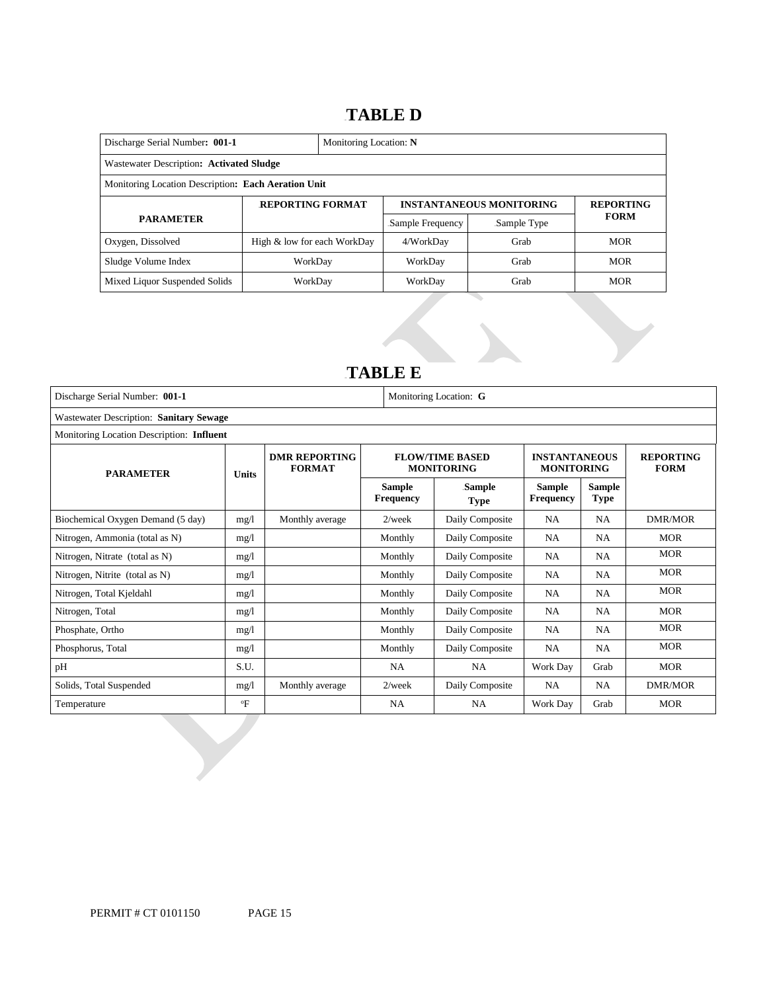### 14B**TABLE D**

| Discharge Serial Number: 001-1<br>Monitoring Location: N |                             |                         |                  |                                 |                  |  |  |
|----------------------------------------------------------|-----------------------------|-------------------------|------------------|---------------------------------|------------------|--|--|
| Wastewater Description: Activated Sludge                 |                             |                         |                  |                                 |                  |  |  |
| Monitoring Location Description: Each Aeration Unit      |                             |                         |                  |                                 |                  |  |  |
|                                                          |                             | <b>REPORTING FORMAT</b> |                  | <b>INSTANTANEOUS MONITORING</b> | <b>REPORTING</b> |  |  |
| <b>PARAMETER</b>                                         |                             |                         | Sample Frequency | Sample Type                     | <b>FORM</b>      |  |  |
| Oxygen, Dissolved                                        | High & low for each WorkDay |                         | 4/WorkDay        | Grab                            | <b>MOR</b>       |  |  |
| Sludge Volume Index                                      | WorkDay                     |                         | WorkDay          | Grab                            | <b>MOR</b>       |  |  |
| Mixed Liquor Suspended Solids                            | WorkDay                     |                         | WorkDay          | Grab                            | <b>MOR</b>       |  |  |

### 15B**TABLE E**

| Discharge Serial Number: 001-1            |              |                                       | Monitoring Location: G            |                                             |                                           |                       |                                 |  |  |
|-------------------------------------------|--------------|---------------------------------------|-----------------------------------|---------------------------------------------|-------------------------------------------|-----------------------|---------------------------------|--|--|
| Wastewater Description: Sanitary Sewage   |              |                                       |                                   |                                             |                                           |                       |                                 |  |  |
| Monitoring Location Description: Influent |              |                                       |                                   |                                             |                                           |                       |                                 |  |  |
| <b>PARAMETER</b><br><b>Units</b>          |              | <b>DMR REPORTING</b><br><b>FORMAT</b> |                                   | <b>FLOW/TIME BASED</b><br><b>MONITORING</b> | <b>INSTANTANEOUS</b><br><b>MONITORING</b> |                       | <b>REPORTING</b><br><b>FORM</b> |  |  |
|                                           |              |                                       | <b>Sample</b><br><b>Frequency</b> | Sample<br><b>Type</b>                       | <b>Sample</b><br><b>Frequency</b>         | Sample<br><b>Type</b> |                                 |  |  |
| Biochemical Oxygen Demand (5 day)         | mg/1         | Monthly average                       | $2$ /week                         | Daily Composite                             | <b>NA</b>                                 | <b>NA</b>             | DMR/MOR                         |  |  |
| Nitrogen, Ammonia (total as N)            | mg/1         |                                       | Monthly                           | Daily Composite                             | <b>NA</b>                                 | <b>NA</b>             | <b>MOR</b>                      |  |  |
| Nitrogen, Nitrate (total as N)            | mg/l         |                                       | Monthly                           | Daily Composite                             | <b>NA</b>                                 | <b>NA</b>             | <b>MOR</b>                      |  |  |
| Nitrogen, Nitrite (total as N)            | mg/1         |                                       | Monthly                           | Daily Composite                             | <b>NA</b>                                 | <b>NA</b>             | <b>MOR</b>                      |  |  |
| Nitrogen, Total Kjeldahl                  | mg/1         |                                       | Monthly                           | Daily Composite                             | <b>NA</b>                                 | <b>NA</b>             | <b>MOR</b>                      |  |  |
| Nitrogen, Total                           | mg/1         |                                       | Monthly                           | Daily Composite                             | <b>NA</b>                                 | NA                    | <b>MOR</b>                      |  |  |
| Phosphate, Ortho                          | mg/1         |                                       | Monthly                           | Daily Composite                             | <b>NA</b>                                 | <b>NA</b>             | <b>MOR</b>                      |  |  |
| Phosphorus, Total                         | mg/1         |                                       | Monthly                           | Daily Composite                             | <b>NA</b>                                 | <b>NA</b>             | <b>MOR</b>                      |  |  |
| pH                                        | S.U.         |                                       | <b>NA</b>                         | <b>NA</b>                                   | Work Day                                  | Grab                  | <b>MOR</b>                      |  |  |
| Solids, Total Suspended                   | mg/1         | Monthly average                       | $2$ /week                         | Daily Composite                             | <b>NA</b>                                 | NA                    | <b>DMR/MOR</b>                  |  |  |
| Temperature                               | $\mathrm{P}$ |                                       | <b>NA</b>                         | NA.                                         | Work Day                                  | Grab                  | <b>MOR</b>                      |  |  |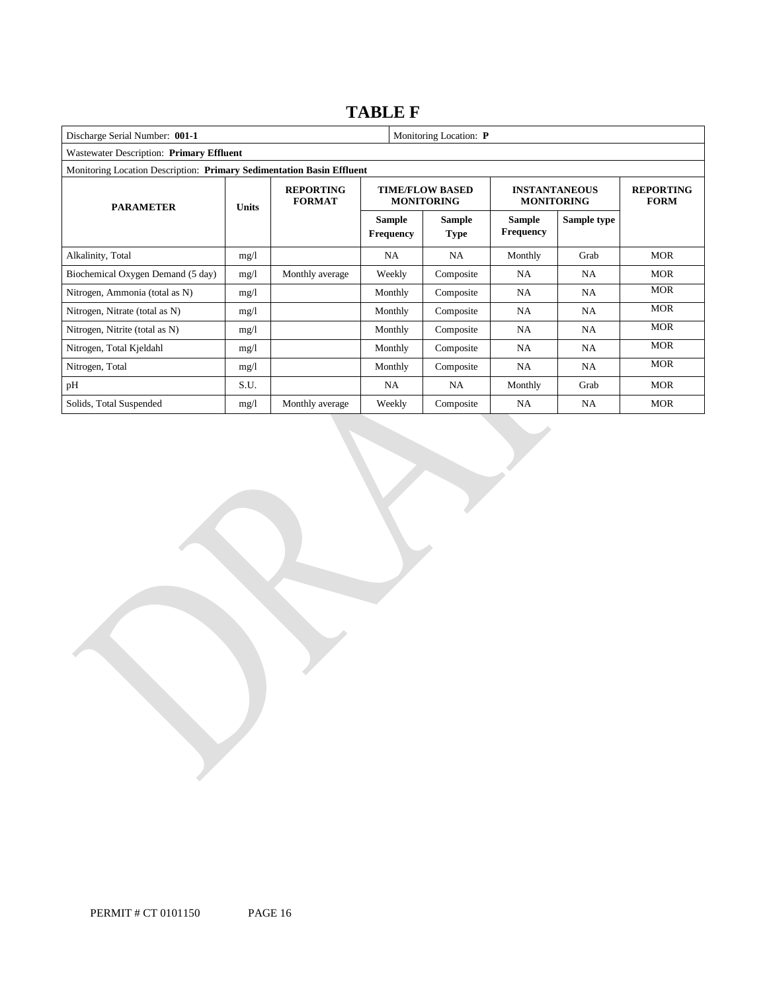### **TABLE F**

| Monitoring Location: P<br>Discharge Serial Number: 001-1 |                                                                       |                                   |                                   |                                             |                                           |                                 |            |  |  |
|----------------------------------------------------------|-----------------------------------------------------------------------|-----------------------------------|-----------------------------------|---------------------------------------------|-------------------------------------------|---------------------------------|------------|--|--|
| Wastewater Description: Primary Effluent                 |                                                                       |                                   |                                   |                                             |                                           |                                 |            |  |  |
|                                                          | Monitoring Location Description: Primary Sedimentation Basin Effluent |                                   |                                   |                                             |                                           |                                 |            |  |  |
| <b>PARAMETER</b>                                         | <b>Units</b>                                                          | <b>REPORTING</b><br><b>FORMAT</b> |                                   | <b>TIME/FLOW BASED</b><br><b>MONITORING</b> | <b>INSTANTANEOUS</b><br><b>MONITORING</b> | <b>REPORTING</b><br><b>FORM</b> |            |  |  |
|                                                          |                                                                       |                                   | <b>Sample</b><br><b>Frequency</b> | <b>Sample</b><br><b>Type</b>                | <b>Sample</b><br><b>Frequency</b>         | Sample type                     |            |  |  |
| Alkalinity, Total                                        | mg/l                                                                  |                                   | <b>NA</b>                         | <b>NA</b>                                   | Monthly                                   | Grab                            | <b>MOR</b> |  |  |
| Biochemical Oxygen Demand (5 day)                        | mg/1                                                                  | Monthly average                   | Weekly                            | Composite                                   | <b>NA</b>                                 | NA.                             | <b>MOR</b> |  |  |
| Nitrogen, Ammonia (total as N)                           | mg/1                                                                  |                                   | Monthly                           | Composite                                   | NA                                        | NA.                             | <b>MOR</b> |  |  |
| Nitrogen, Nitrate (total as N)                           | mg/1                                                                  |                                   | Monthly                           | Composite                                   | NA                                        | NA.                             | <b>MOR</b> |  |  |
| Nitrogen, Nitrite (total as N)                           | mg/1                                                                  |                                   | Monthly                           | Composite                                   | NA                                        | NA                              | <b>MOR</b> |  |  |
| Nitrogen, Total Kjeldahl                                 | mg/1                                                                  |                                   | Monthly                           | Composite                                   | <b>NA</b>                                 | NA.                             | <b>MOR</b> |  |  |
| Nitrogen, Total                                          | mg/l                                                                  |                                   | Monthly                           | Composite                                   | <b>NA</b>                                 | NA.                             | <b>MOR</b> |  |  |
| pH                                                       | S.U.                                                                  |                                   | NA.                               | NA.                                         | Monthly                                   | Grab                            | <b>MOR</b> |  |  |
| Solids, Total Suspended                                  | mg/l                                                                  | Monthly average                   | Weekly                            | Composite                                   | NA                                        | NA                              | <b>MOR</b> |  |  |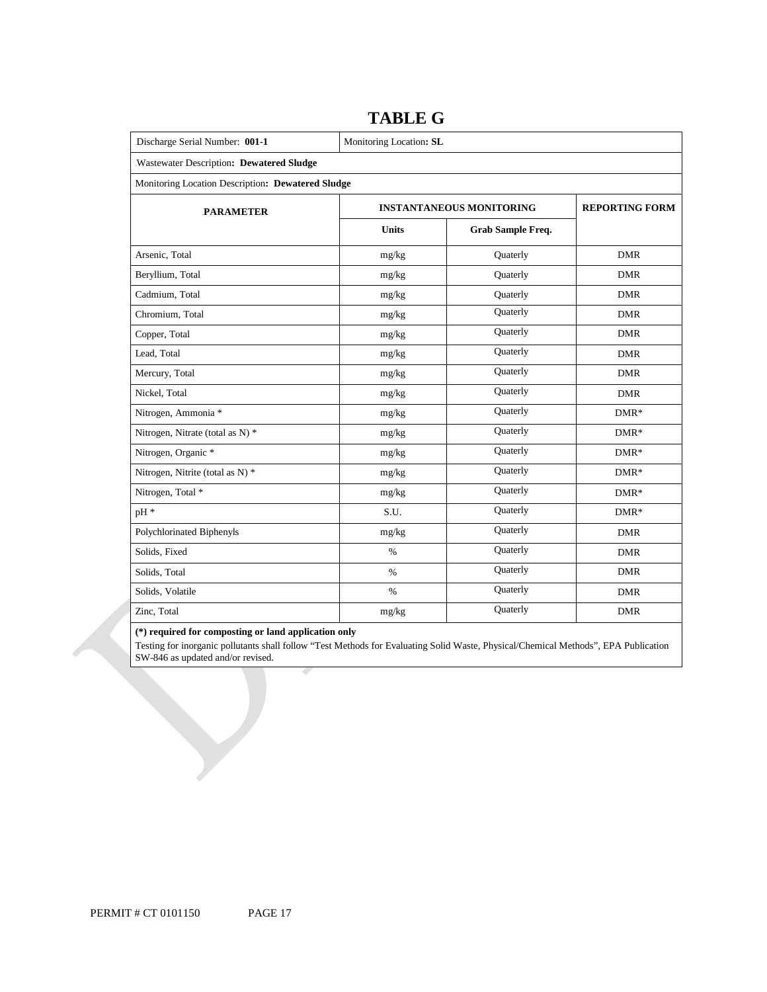| Discharge Serial Number: 001-1                    | Monitoring Location: SL |                                 |                       |  |  |  |  |
|---------------------------------------------------|-------------------------|---------------------------------|-----------------------|--|--|--|--|
| Wastewater Description: Dewatered Sludge          |                         |                                 |                       |  |  |  |  |
| Monitoring Location Description: Dewatered Sludge |                         |                                 |                       |  |  |  |  |
| <b>PARAMETER</b>                                  |                         | <b>INSTANTANEOUS MONITORING</b> | <b>REPORTING FORM</b> |  |  |  |  |
|                                                   | <b>Units</b>            | Grab Sample Freq.               |                       |  |  |  |  |
| Arsenic, Total                                    | mg/kg                   | Quaterly                        | <b>DMR</b>            |  |  |  |  |
| Beryllium, Total                                  | mg/kg                   | Quaterly                        | <b>DMR</b>            |  |  |  |  |
| Cadmium, Total                                    | mg/kg                   | Quaterly                        | <b>DMR</b>            |  |  |  |  |
| Chromium, Total                                   | mg/kg                   | Quaterly                        | <b>DMR</b>            |  |  |  |  |
| Copper, Total                                     | mg/kg                   | Quaterly                        | <b>DMR</b>            |  |  |  |  |
| Lead, Total                                       | mg/kg                   | Quaterly                        | <b>DMR</b>            |  |  |  |  |
| Mercury, Total                                    | mg/kg                   | Quaterly                        | <b>DMR</b>            |  |  |  |  |
| Nickel, Total                                     | mg/kg                   | Quaterly                        | <b>DMR</b>            |  |  |  |  |
| Nitrogen, Ammonia *                               | mg/kg                   | Quaterly                        | $DMR*$                |  |  |  |  |
| Nitrogen, Nitrate (total as N) *                  | mg/kg                   | Quaterly                        | $DMR*$                |  |  |  |  |
| Nitrogen, Organic *                               | mg/kg                   | Quaterly                        | $DMR*$                |  |  |  |  |
| Nitrogen, Nitrite (total as N) *                  | mg/kg                   | Quaterly                        | $DMR*$                |  |  |  |  |
| Nitrogen, Total *                                 | mg/kg                   | Quaterly                        | $DMR*$                |  |  |  |  |
| pH *                                              | S.U.                    | Quaterly                        | $DMR*$                |  |  |  |  |
| Polychlorinated Biphenyls                         | $\rm mg/kg$             | Quaterly                        | <b>DMR</b>            |  |  |  |  |
| Solids, Fixed                                     | $\%$                    | Quaterly                        | <b>DMR</b>            |  |  |  |  |
| Solids, Total                                     | $\%$                    | Quaterly                        | <b>DMR</b>            |  |  |  |  |
| Solids, Volatile                                  | $\%$                    | Quaterly                        | <b>DMR</b>            |  |  |  |  |
| Zinc, Total                                       | mg/kg                   | Quaterly                        | <b>DMR</b>            |  |  |  |  |

### **TABLE G**

#### **(\*) required for composting or land application only**

 Testing for inorganic pollutants shall follow "Test Methods for Evaluating Solid Waste, Physical/Chemical Methods", EPA Publication SW-846 as updated and/or revised.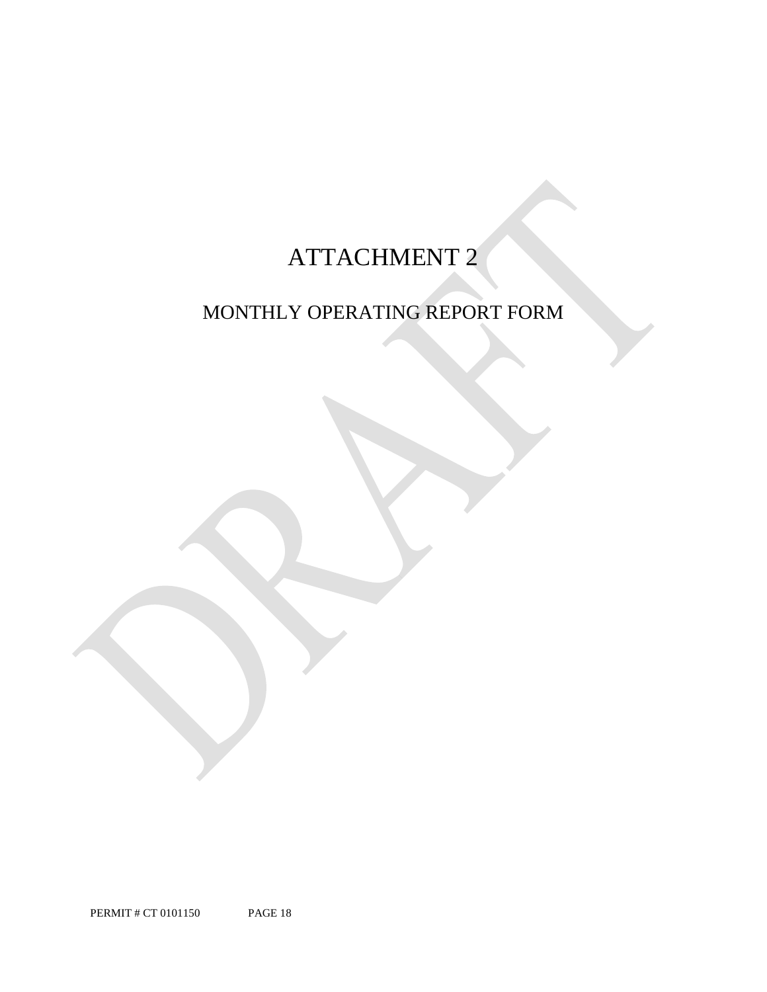# ATTACHMENT 2

## MONTHLY OPERATING REPORT FORM

PERMIT # CT 0101150 PAGE 18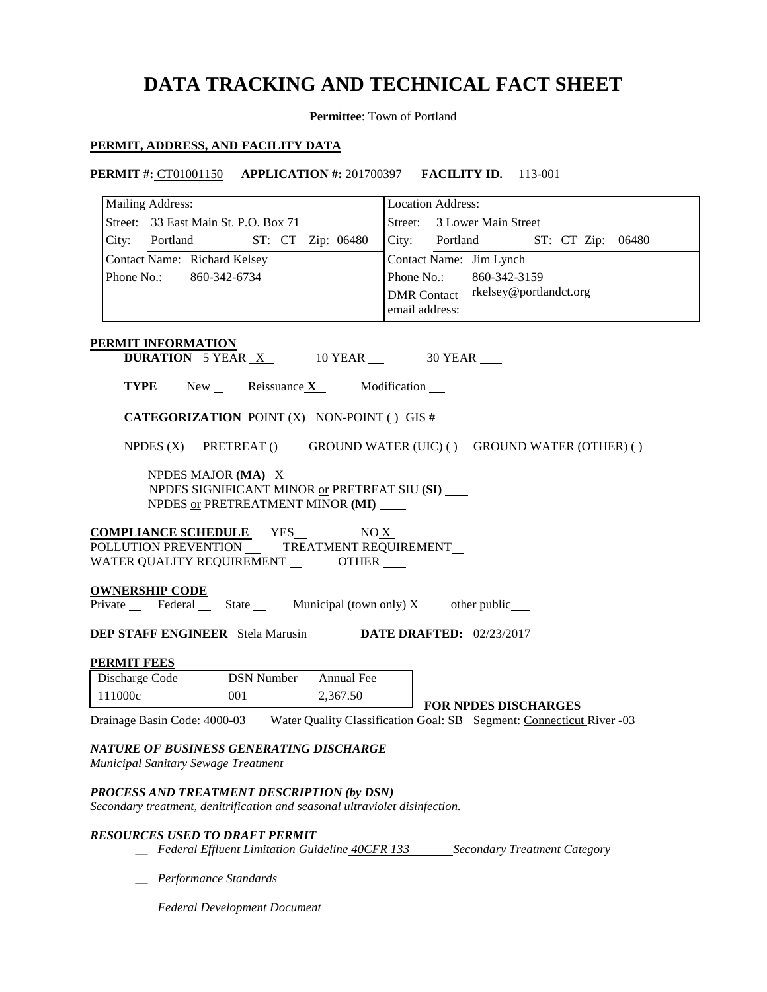## **DATA TRACKING AND TECHNICAL FACT SHEET**

**Permittee**: Town of Portland

### **PERMIT, ADDRESS, AND FACILITY DATA**

 **PERMIT #:** CT01001150 **APPLICATION #:** 201700397 **FACILITY ID.** 113-001

| <b>Mailing Address:</b>                                                                           | <b>Location Address:</b>                      |
|---------------------------------------------------------------------------------------------------|-----------------------------------------------|
| Street: 33 East Main St. P.O. Box 71                                                              | Street: 3 Lower Main Street                   |
| ST: CT Zip: 06480<br>City: Portland                                                               | City: Portland<br>ST: CT Zip: 06480           |
| Contact Name: Richard Kelsey                                                                      | Contact Name: Jim Lynch                       |
| Phone No.:<br>860-342-6734                                                                        | Phone No.:<br>860-342-3159                    |
|                                                                                                   | rkelsey@portlandct.org<br><b>DMR</b> Contact  |
|                                                                                                   | email address:                                |
|                                                                                                   |                                               |
| <b>PERMIT INFORMATION</b><br><b>DURATION</b> 5 YEAR $X$ 10 YEAR $\_\$ 30 YEAR                     |                                               |
|                                                                                                   |                                               |
| Reissuance $\underline{\mathbf{X}}$<br><b>TYPE</b><br>$New_{\perp}$                               | Modification __                               |
| <b>CATEGORIZATION</b> POINT (X) NON-POINT () GIS #                                                |                                               |
|                                                                                                   |                                               |
| NPDES $(X)$ PRETREAT $()$                                                                         | GROUND WATER (UIC) () GROUND WATER (OTHER) () |
| NPDES MAJOR (MA) $X$                                                                              |                                               |
| NPDES SIGNIFICANT MINOR or PRETREAT SIU (SI)                                                      |                                               |
| NPDES or PRETREATMENT MINOR (MI) ____                                                             |                                               |
| <b>COMPLIANCE SCHEDULE</b> YES_<br>NO X                                                           |                                               |
| POLLUTION PREVENTION _____ TREATMENT REQUIREMENT __                                               |                                               |
| WATER QUALITY REQUIREMENT _________OTHER ____                                                     |                                               |
|                                                                                                   |                                               |
| <b>OWNERSHIP CODE</b><br>Private Federal State Municipal (town only) $X$ other public             |                                               |
|                                                                                                   |                                               |
| <b>DEP STAFF ENGINEER</b> Stela Marusin                                                           | <b>DATE DRAFTED:</b> 02/23/2017               |
| <b>PERMIT FEES</b>                                                                                |                                               |
| <b>DSN Number</b><br>Annual Fee<br>Discharge Code                                                 |                                               |
| 111000c<br>001<br>2,367.50                                                                        |                                               |
| Drainage Basin Code: 4000-03 Water Quality Classification Goal: SB Segment: Connecticut River -03 | <b>FOR NPDES DISCHARGES</b>                   |
|                                                                                                   |                                               |
| NATURE OF BUSINESS GENERATING DISCHARGE                                                           |                                               |
| Municipal Sanitary Sewage Treatment                                                               |                                               |
|                                                                                                   |                                               |

### *PROCESS AND TREATMENT DESCRIPTION (by DSN)*

 *Secondary treatment, denitrification and seasonal ultraviolet disinfection.* 

### *RESOURCES USED TO DRAFT PERMIT*

- *\_\_ Federal Effluent Limitation Guideline 40CFR 133 Secondary Treatment Category*
- *\_\_ Performance Standards*
- *Federal Development Document*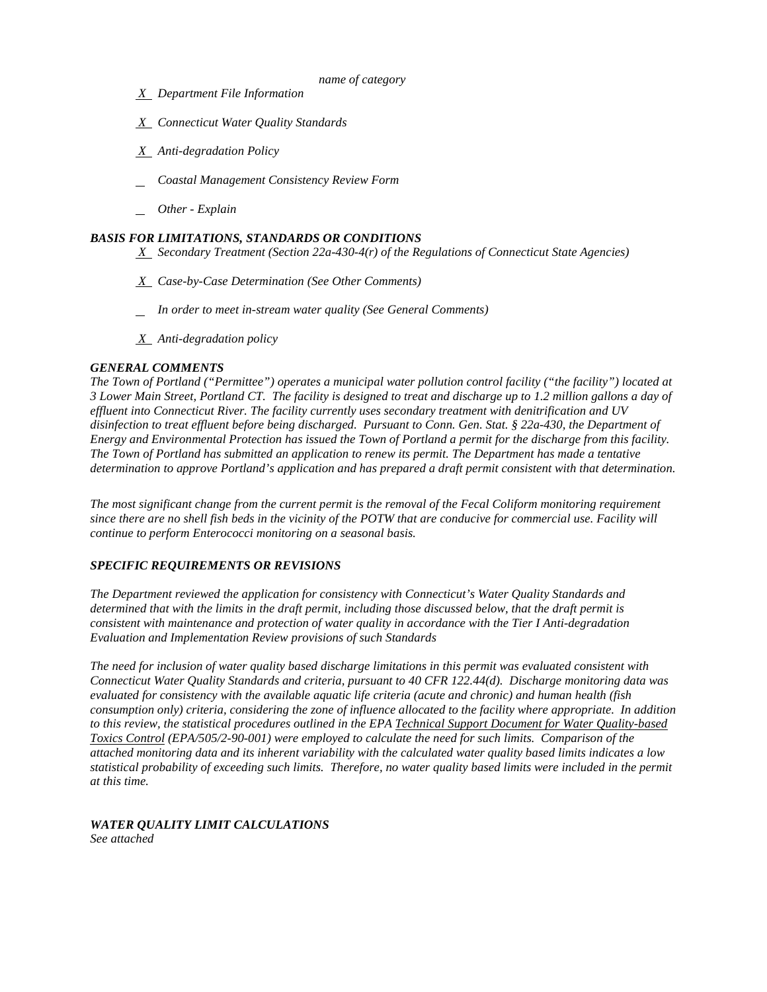- *name of category*
- *X Department File Information*
- *X Connecticut Water Quality Standards*
- *X Anti-degradation Policy*
- *Coastal Management Consistency Review Form*
- *Other - Explain*

### *BASIS FOR LIMITATIONS, STANDARDS OR CONDITIONS*

 *X Secondary Treatment (Section 22a-430-4(r) of the Regulations of Connecticut State Agencies)* 

- *X Case-by-Case Determination (See Other Comments)*
- *In order to meet in-stream water quality (See General Comments)*
- *X Anti-degradation policy*

### *GENERAL COMMENTS*

 *3 Lower Main Street, Portland CT. The facility is designed to treat and discharge up to 1.2 million gallons a day of effluent into Connecticut River. The facility currently uses secondary treatment with denitrification and UV Energy and Environmental Protection has issued the Town of Portland a permit for the discharge from this facility. The Town of Portland ("Permittee") operates a municipal water pollution control facility ("the facility") located at disinfection to treat effluent before being discharged. Pursuant to Conn. Gen. Stat. § 22a-430, the Department of The Town of Portland has submitted an application to renew its permit. The Department has made a tentative determination to approve Portland's application and has prepared a draft permit consistent with that determination.* 

*The most significant change from the current permit is the removal of the Fecal Coliform monitoring requirement since there are no shell fish beds in the vicinity of the POTW that are conducive for commercial use. Facility will continue to perform Enterococci monitoring on a seasonal basis.* 

### *SPECIFIC REQUIREMENTS OR REVISIONS*

**Evaluation and Implementation Review provisions of such Standards** *The Department reviewed the application for consistency with Connecticut's Water Quality Standards and determined that with the limits in the draft permit, including those discussed below, that the draft permit is consistent with maintenance and protection of water quality in accordance with the Tier I Anti-degradation* 

 *Connecticut Water Quality Standards and criteria, pursuant to 40 CFR 122.44(d). Discharge monitoring data was consumption only) criteria, considering the zone of influence allocated to the facility where appropriate. In addition to this review, the statistical procedures outlined in the EPA Technical Support Document for Water Quality-based at this time. The need for inclusion of water quality based discharge limitations in this permit was evaluated consistent with evaluated for consistency with the available aquatic life criteria (acute and chronic) and human health (fish Toxics Control (EPA/505/2-90-001) were employed to calculate the need for such limits. Comparison of the attached monitoring data and its inherent variability with the calculated water quality based limits indicates a low statistical probability of exceeding such limits. Therefore, no water quality based limits were included in the permit* 

### *WATER QUALITY LIMIT CALCULATIONS*

*See attached*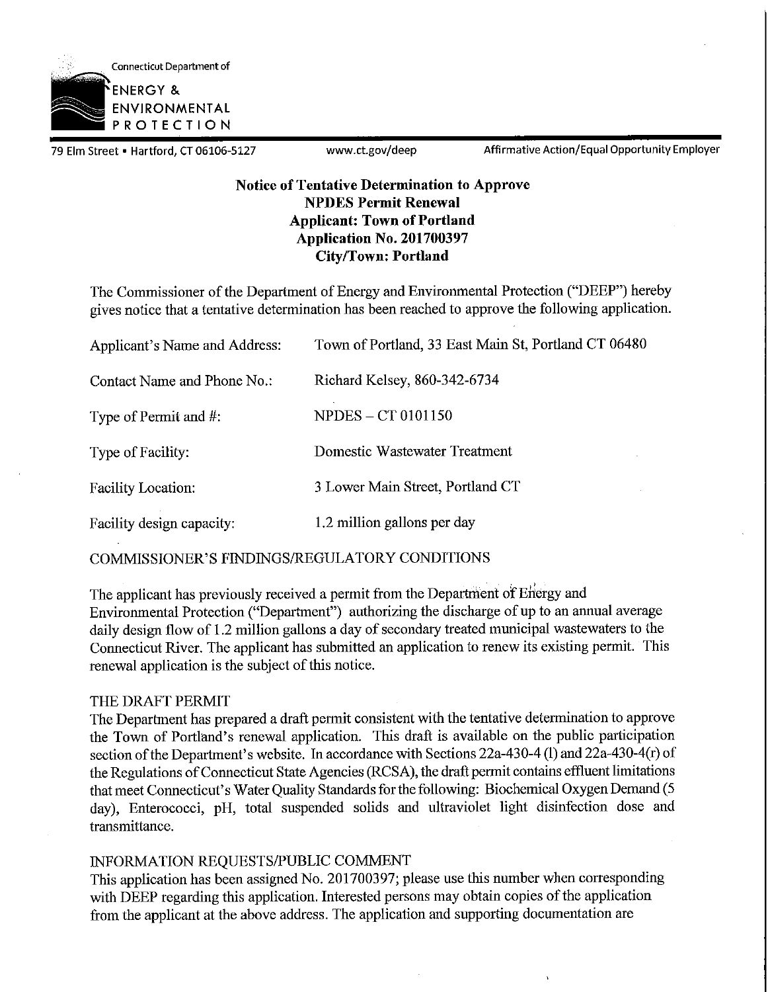

79 Elm Street • Hartford, CT 06106-5127 www.ct.gov/deep Affirmative Action/Equal Opportunity Employer

### **Notice of Tentative Determination to Approve NPDES Permit Renewal Applicant: Town of Portland Application No. 201700397 City/Town: Portland**

The Commissioner of the Department of Energy and Environmental Protection ("DEEP") hereby gives notice that a tentative determination has been reached to approve the following application.

| Applicant's Name and Address: | Town of Portland, 33 East Main St, Portland CT 06480 |
|-------------------------------|------------------------------------------------------|
| Contact Name and Phone No.:   | Richard Kelsey, 860-342-6734                         |
| Type of Permit and #:         | <b>NPDES – CT 0101150</b>                            |
| Type of Facility:             | Domestic Wastewater Treatment                        |
| <b>Facility Location:</b>     | 3 Lower Main Street, Portland CT                     |
| Facility design capacity:     | 1.2 million gallons per day                          |

COMMISSIONER'S FINDINGS/REGULATORY CONDITIONS

The applicant has previously received a permit from the Department of Energy and Environmental Protection ("Department") authorizing the discharge of up to an annual average daily design flow of 1.2 million gallons a day of secondary treated municipal wastewaters to the Connecticut River. The applicant has submitted an application to renew its existing permit. This renewal application is the subject of this notice.

### THE DRAFT PERMIT

The Department has prepared a draft permit consistent with the tentative determination to approve the Town of Portland's renewal application. This draft is available on the public participation section of the Department's website. In accordance with Sections 22a-430-4 (1) and 22a-430-4 (r) of the Regulations of Connecticut State Agencies (RCSA), the draft permit contains effluent limitations that meet Connecticut's Water Quality Standards for the following: Biochemical Oxygen Demand (5 day), Enterococci, pH, total suspended solids and ultraviolet light disinfection dose and transmittance.

### INFORMATION REQUESTS/PUBLIC COMMENT

This application has been assigned No. 201700397; please use this number when corresponding with DEEP regarding this application. Interested persons may obtain copies of the application from the applicant at the above address. The application and supporting documentation are